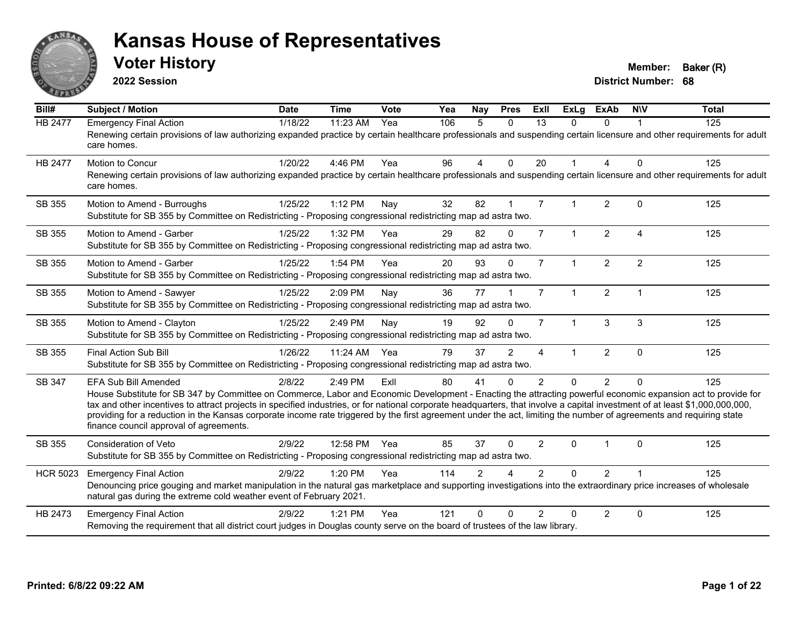

**2022 Session**

**Voter History Member: Baker (R)** 

| Bill#           | Subject / Motion                                                                                                                                                                                                                                                                                                                                                                                                                                                                                                                                                                                   | <b>Date</b> | <b>Time</b>  | <b>Vote</b> | Yea | Nay            | <b>Pres</b>            | ExIl           | <b>ExLg</b>  | <b>ExAb</b>    | <b>NIV</b>              | <b>Total</b> |
|-----------------|----------------------------------------------------------------------------------------------------------------------------------------------------------------------------------------------------------------------------------------------------------------------------------------------------------------------------------------------------------------------------------------------------------------------------------------------------------------------------------------------------------------------------------------------------------------------------------------------------|-------------|--------------|-------------|-----|----------------|------------------------|----------------|--------------|----------------|-------------------------|--------------|
| <b>HB 2477</b>  | <b>Emergency Final Action</b><br>Renewing certain provisions of law authorizing expanded practice by certain healthcare professionals and suspending certain licensure and other requirements for adult<br>care homes.                                                                                                                                                                                                                                                                                                                                                                             | 1/18/22     | 11:23 AM     | Yea         | 106 | 5              | $\mathbf{0}$           | 13             | 0            | $\Omega$       |                         | 125          |
| <b>HB 2477</b>  | Motion to Concur<br>Renewing certain provisions of law authorizing expanded practice by certain healthcare professionals and suspending certain licensure and other requirements for adult<br>care homes.                                                                                                                                                                                                                                                                                                                                                                                          | 1/20/22     | 4:46 PM      | Yea         | 96  | 4              | $\Omega$               | 20             | $\mathbf{1}$ | 4              | $\Omega$                | 125          |
| SB 355          | Motion to Amend - Burroughs<br>Substitute for SB 355 by Committee on Redistricting - Proposing congressional redistricting map ad astra two.                                                                                                                                                                                                                                                                                                                                                                                                                                                       | 1/25/22     | 1:12 PM      | Nay         | 32  | 82             |                        | $\overline{7}$ | 1            | $\overline{2}$ | $\mathbf{0}$            | 125          |
| SB 355          | Motion to Amend - Garber<br>Substitute for SB 355 by Committee on Redistricting - Proposing congressional redistricting map ad astra two.                                                                                                                                                                                                                                                                                                                                                                                                                                                          | 1/25/22     | 1:32 PM      | Yea         | 29  | 82             | $\Omega$               | $\overline{7}$ | $\mathbf{1}$ | $\overline{2}$ | $\overline{4}$          | 125          |
| SB 355          | Motion to Amend - Garber<br>Substitute for SB 355 by Committee on Redistricting - Proposing congressional redistricting map ad astra two.                                                                                                                                                                                                                                                                                                                                                                                                                                                          | 1/25/22     | 1:54 PM      | Yea         | 20  | 93             | $\Omega$               | $\overline{7}$ | $\mathbf{1}$ | $\overline{2}$ | $\overline{2}$          | 125          |
| SB 355          | Motion to Amend - Sawyer<br>Substitute for SB 355 by Committee on Redistricting - Proposing congressional redistricting map ad astra two.                                                                                                                                                                                                                                                                                                                                                                                                                                                          | 1/25/22     | 2:09 PM      | Nay         | 36  | 77             |                        | $\overline{7}$ | $\mathbf{1}$ | $\overline{2}$ | $\overline{\mathbf{1}}$ | 125          |
| SB 355          | Motion to Amend - Clayton<br>Substitute for SB 355 by Committee on Redistricting - Proposing congressional redistricting map ad astra two.                                                                                                                                                                                                                                                                                                                                                                                                                                                         | 1/25/22     | 2:49 PM      | Nay         | 19  | 92             | $\Omega$               | $\overline{7}$ | $\mathbf{1}$ | 3              | 3                       | 125          |
| SB 355          | Final Action Sub Bill<br>Substitute for SB 355 by Committee on Redistricting - Proposing congressional redistricting map ad astra two.                                                                                                                                                                                                                                                                                                                                                                                                                                                             | 1/26/22     | 11:24 AM Yea |             | 79  | 37             | 2                      | 4              | 1            | $\overline{2}$ | $\Omega$                | 125          |
| SB 347          | <b>EFA Sub Bill Amended</b><br>House Substitute for SB 347 by Committee on Commerce, Labor and Economic Development - Enacting the attracting powerful economic expansion act to provide for<br>tax and other incentives to attract projects in specified industries, or for national corporate headquarters, that involve a capital investment of at least \$1,000,000,000,000,<br>providing for a reduction in the Kansas corporate income rate triggered by the first agreement under the act, limiting the number of agreements and requiring state<br>finance council approval of agreements. | 2/8/22      | 2:49 PM      | Exll        | 80  | 41             | $\Omega$               | $\overline{2}$ | $\Omega$     | $\overline{2}$ | $\Omega$                | 125          |
| SB 355          | <b>Consideration of Veto</b><br>Substitute for SB 355 by Committee on Redistricting - Proposing congressional redistricting map ad astra two.                                                                                                                                                                                                                                                                                                                                                                                                                                                      | 2/9/22      | 12:58 PM Yea |             | 85  | 37             | $\Omega$               | $\overline{2}$ | $\Omega$     | $\overline{1}$ | $\Omega$                | 125          |
| <b>HCR 5023</b> | <b>Emergency Final Action</b><br>Denouncing price gouging and market manipulation in the natural gas marketplace and supporting investigations into the extraordinary price increases of wholesale<br>natural gas during the extreme cold weather event of February 2021.                                                                                                                                                                                                                                                                                                                          | 2/9/22      | 1:20 PM      | Yea         | 114 | $\mathfrak{p}$ | $\boldsymbol{\Lambda}$ | $\mathcal{P}$  | $\Omega$     | $\overline{2}$ |                         | 125          |
| HB 2473         | <b>Emergency Final Action</b><br>Removing the requirement that all district court judges in Douglas county serve on the board of trustees of the law library.                                                                                                                                                                                                                                                                                                                                                                                                                                      | 2/9/22      | $1:21$ PM    | Yea         | 121 | U              | $\Omega$               | $\mathcal{P}$  | $\Omega$     | $\overline{2}$ | $\Omega$                | 125          |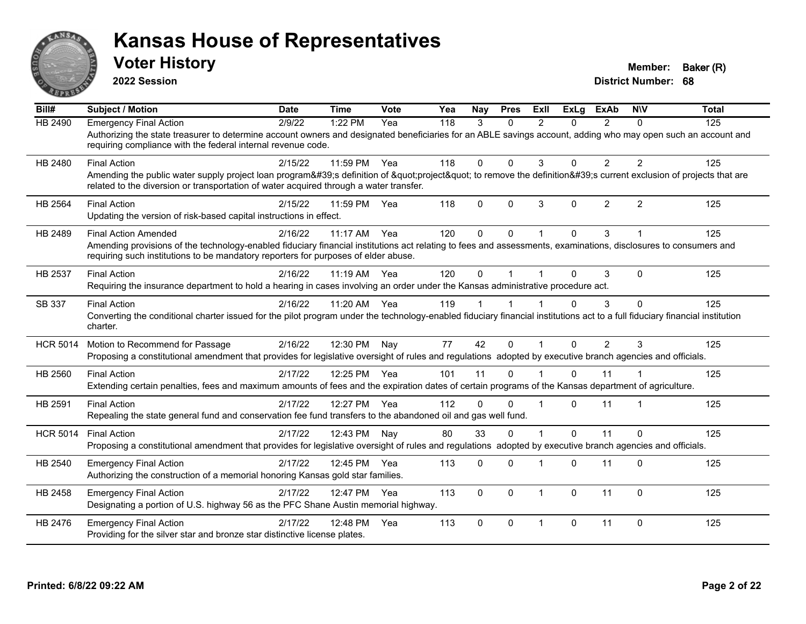

**2022 Session**

**Voter History Member: Baker (R)** 

| Bill#           | <b>Subject / Motion</b>                                                                                                                                                                                                                               | <b>Date</b> | <b>Time</b>  | Vote | Yea | Nay          | <b>Pres</b> | ExII           | <b>ExLg</b>  | <b>ExAb</b>    | <b>NIV</b>     | <b>Total</b> |
|-----------------|-------------------------------------------------------------------------------------------------------------------------------------------------------------------------------------------------------------------------------------------------------|-------------|--------------|------|-----|--------------|-------------|----------------|--------------|----------------|----------------|--------------|
| <b>HB 2490</b>  | <b>Emergency Final Action</b>                                                                                                                                                                                                                         | 2/9/22      | 1:22 PM      | Yea  | 118 | 3            | $\Omega$    | $\mathcal{P}$  | 0            | $\overline{2}$ | $\Omega$       | 125          |
|                 | Authorizing the state treasurer to determine account owners and designated beneficiaries for an ABLE savings account, adding who may open such an account and<br>requiring compliance with the federal internal revenue code.                         |             |              |      |     |              |             |                |              |                |                |              |
| HB 2480         | <b>Final Action</b>                                                                                                                                                                                                                                   | 2/15/22     | 11:59 PM Yea |      | 118 | $\Omega$     | $\Omega$    | 3              | $\Omega$     | $\overline{2}$ | 2              | 125          |
|                 | Amending the public water supply project loan program's definition of "project" to remove the definition's current exclusion of projects that are<br>related to the diversion or transportation of water acquired through a water transfer.           |             |              |      |     |              |             |                |              |                |                |              |
| HB 2564         | <b>Final Action</b>                                                                                                                                                                                                                                   | 2/15/22     | 11:59 PM     | Yea  | 118 | $\mathbf{0}$ | $\Omega$    | 3              | $\mathbf{0}$ | $\overline{2}$ | $\overline{2}$ | 125          |
|                 | Updating the version of risk-based capital instructions in effect.                                                                                                                                                                                    |             |              |      |     |              |             |                |              |                |                |              |
| HB 2489         | <b>Final Action Amended</b>                                                                                                                                                                                                                           | 2/16/22     | 11:17 AM     | Yea  | 120 | $\Omega$     | $\Omega$    |                | $\Omega$     | 3              |                | 125          |
|                 | Amending provisions of the technology-enabled fiduciary financial institutions act relating to fees and assessments, examinations, disclosures to consumers and<br>requiring such institutions to be mandatory reporters for purposes of elder abuse. |             |              |      |     |              |             |                |              |                |                |              |
| HB 2537         | <b>Final Action</b>                                                                                                                                                                                                                                   | 2/16/22     | 11:19 AM Yea |      | 120 | $\Omega$     |             |                | $\Omega$     | 3              | $\Omega$       | 125          |
|                 | Requiring the insurance department to hold a hearing in cases involving an order under the Kansas administrative procedure act.                                                                                                                       |             |              |      |     |              |             |                |              |                |                |              |
| SB 337          | <b>Final Action</b>                                                                                                                                                                                                                                   | 2/16/22     | 11:20 AM Yea |      | 119 |              |             |                | $\Omega$     | 3              | $\Omega$       | 125          |
|                 | Converting the conditional charter issued for the pilot program under the technology-enabled fiduciary financial institutions act to a full fiduciary financial institution<br>charter.                                                               |             |              |      |     |              |             |                |              |                |                |              |
| <b>HCR 5014</b> | Motion to Recommend for Passage                                                                                                                                                                                                                       | 2/16/22     | 12:30 PM     | Nay  | 77  | 42           | $\Omega$    | $\overline{1}$ | $\Omega$     | $\overline{2}$ | $\mathcal{S}$  | 125          |
|                 | Proposing a constitutional amendment that provides for legislative oversight of rules and regulations adopted by executive branch agencies and officials.                                                                                             |             |              |      |     |              |             |                |              |                |                |              |
| HB 2560         | <b>Final Action</b>                                                                                                                                                                                                                                   | 2/17/22     | 12:25 PM Yea |      | 101 | 11           | $\Omega$    |                | $\Omega$     | 11             |                | 125          |
|                 | Extending certain penalties, fees and maximum amounts of fees and the expiration dates of certain programs of the Kansas department of agriculture.                                                                                                   |             |              |      |     |              |             |                |              |                |                |              |
| HB 2591         | <b>Final Action</b>                                                                                                                                                                                                                                   | 2/17/22     | 12:27 PM Yea |      | 112 | $\Omega$     | $\Omega$    | -1             | $\Omega$     | 11             | -1             | 125          |
|                 | Repealing the state general fund and conservation fee fund transfers to the abandoned oil and gas well fund.                                                                                                                                          |             |              |      |     |              |             |                |              |                |                |              |
| <b>HCR 5014</b> | <b>Final Action</b>                                                                                                                                                                                                                                   | 2/17/22     | 12:43 PM     | Nay  | 80  | 33           | $\Omega$    |                | $\Omega$     | 11             | $\Omega$       | 125          |
|                 | Proposing a constitutional amendment that provides for legislative oversight of rules and regulations adopted by executive branch agencies and officials.                                                                                             |             |              |      |     |              |             |                |              |                |                |              |
| HB 2540         | <b>Emergency Final Action</b>                                                                                                                                                                                                                         | 2/17/22     | 12:45 PM     | Yea  | 113 | 0            | $\Omega$    |                | $\Omega$     | 11             | $\Omega$       | 125          |
|                 | Authorizing the construction of a memorial honoring Kansas gold star families.                                                                                                                                                                        |             |              |      |     |              |             |                |              |                |                |              |
| HB 2458         | <b>Emergency Final Action</b>                                                                                                                                                                                                                         | 2/17/22     | 12:47 PM     | Yea  | 113 | $\mathbf{0}$ | $\Omega$    | $\overline{1}$ | $\Omega$     | 11             | $\Omega$       | 125          |
|                 | Designating a portion of U.S. highway 56 as the PFC Shane Austin memorial highway.                                                                                                                                                                    |             |              |      |     |              |             |                |              |                |                |              |
| HB 2476         | <b>Emergency Final Action</b>                                                                                                                                                                                                                         | 2/17/22     | 12:48 PM     | Yea  | 113 | $\Omega$     | $\Omega$    | 1              | $\Omega$     | 11             | $\Omega$       | 125          |
|                 | Providing for the silver star and bronze star distinctive license plates.                                                                                                                                                                             |             |              |      |     |              |             |                |              |                |                |              |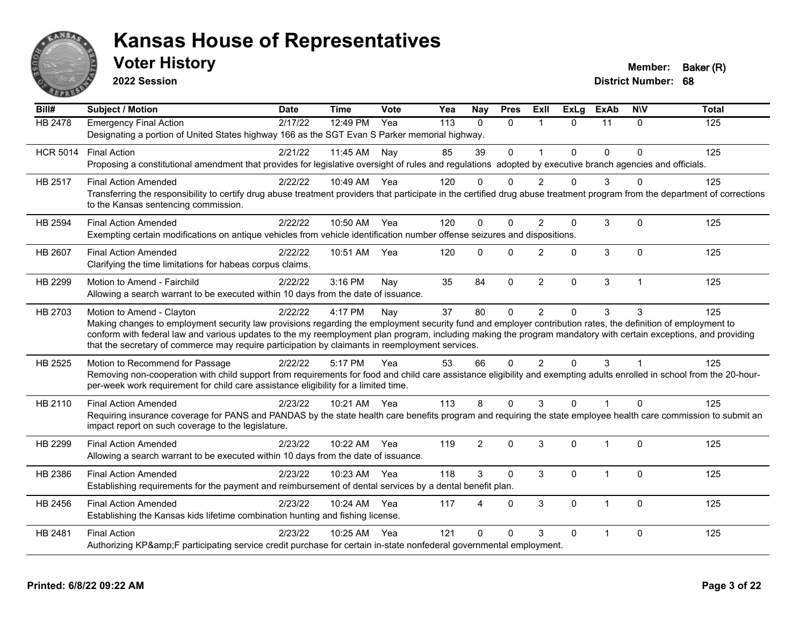

**2022 Session**

**Voter History Member: Baker (R)** 

| Bill#           | <b>Subject / Motion</b>                                                                                                                                                                                                                                            | <b>Date</b> | Time         | Vote | Yea | <b>Nay</b>             | <b>Pres</b> | ExII           |              | ExLg ExAb      | <b>NIV</b>              | <b>Total</b> |
|-----------------|--------------------------------------------------------------------------------------------------------------------------------------------------------------------------------------------------------------------------------------------------------------------|-------------|--------------|------|-----|------------------------|-------------|----------------|--------------|----------------|-------------------------|--------------|
| HB 2478         | <b>Emergency Final Action</b>                                                                                                                                                                                                                                      | 2/17/22     | 12:49 PM     | Yea  | 113 | $\Omega$               | $\Omega$    |                | $\Omega$     | 11             | $\Omega$                | 125          |
|                 | Designating a portion of United States highway 166 as the SGT Evan S Parker memorial highway.                                                                                                                                                                      |             |              |      |     |                        |             |                |              |                |                         |              |
| <b>HCR 5014</b> | <b>Final Action</b>                                                                                                                                                                                                                                                | 2/21/22     | 11:45 AM Nay |      | 85  | 39                     | $\Omega$    | $\mathbf 1$    | $\mathbf{0}$ | $\Omega$       | $\Omega$                | 125          |
|                 | Proposing a constitutional amendment that provides for legislative oversight of rules and regulations adopted by executive branch agencies and officials.                                                                                                          |             |              |      |     |                        |             |                |              |                |                         |              |
| HB 2517         | <b>Final Action Amended</b>                                                                                                                                                                                                                                        | 2/22/22     | 10:49 AM Yea |      | 120 | $\Omega$               | $\Omega$    | $\overline{2}$ | $\mathbf 0$  | 3              | $\Omega$                | 125          |
|                 | Transferring the responsibility to certify drug abuse treatment providers that participate in the certified drug abuse treatment program from the department of corrections<br>to the Kansas sentencing commission.                                                |             |              |      |     |                        |             |                |              |                |                         |              |
| HB 2594         | <b>Final Action Amended</b>                                                                                                                                                                                                                                        | 2/22/22     | 10:50 AM Yea |      | 120 | $\mathbf 0$            | $\mathbf 0$ | $\overline{2}$ | 0            | 3              | $\mathbf{0}$            | 125          |
|                 | Exempting certain modifications on antique vehicles from vehicle identification number offense seizures and dispositions.                                                                                                                                          |             |              |      |     |                        |             |                |              |                |                         |              |
| HB 2607         | <b>Final Action Amended</b>                                                                                                                                                                                                                                        | 2/22/22     | 10:51 AM     | Yea  | 120 | $\Omega$               | $\Omega$    | $\overline{c}$ | $\mathbf 0$  | 3              | $\mathbf{0}$            | 125          |
|                 | Clarifying the time limitations for habeas corpus claims.                                                                                                                                                                                                          |             |              |      |     |                        |             |                |              |                |                         |              |
| HB 2299         | Motion to Amend - Fairchild                                                                                                                                                                                                                                        | 2/22/22     | 3:16 PM      | Nay  | 35  | 84                     | $\mathbf 0$ | $\overline{2}$ | 0            | 3              | $\overline{1}$          | 125          |
|                 | Allowing a search warrant to be executed within 10 days from the date of issuance.                                                                                                                                                                                 |             |              |      |     |                        |             |                |              |                |                         |              |
| HB 2703         | Motion to Amend - Clayton                                                                                                                                                                                                                                          | 2/22/22     | 4:17 PM      | Nav  | 37  | 80                     | $\Omega$    | $\overline{2}$ | $\mathbf{0}$ | 3              | 3                       | 125          |
|                 | Making changes to employment security law provisions regarding the employment security fund and employer contribution rates, the definition of employment to                                                                                                       |             |              |      |     |                        |             |                |              |                |                         |              |
|                 | conform with federal law and various updates to the my reemployment plan program, including making the program mandatory with certain exceptions, and providing<br>that the secretary of commerce may require participation by claimants in reemployment services. |             |              |      |     |                        |             |                |              |                |                         |              |
| HB 2525         | Motion to Recommend for Passage                                                                                                                                                                                                                                    | 2/22/22     | 5:17 PM      | Yea  | 53  | 66                     | $\Omega$    | $\overline{2}$ | $\Omega$     | 3              | $\overline{\mathbf{1}}$ | 125          |
|                 | Removing non-cooperation with child support from requirements for food and child care assistance eligibility and exempting adults enrolled in school from the 20-hour-                                                                                             |             |              |      |     |                        |             |                |              |                |                         |              |
|                 | per-week work requirement for child care assistance eligibility for a limited time.                                                                                                                                                                                |             |              |      |     |                        |             |                |              |                |                         |              |
| HB 2110         | <b>Final Action Amended</b>                                                                                                                                                                                                                                        | 2/23/22     | 10:21 AM Yea |      | 113 | 8                      | $\Omega$    | 3              | $\Omega$     | $\overline{1}$ | $\Omega$                | 125          |
|                 | Requiring insurance coverage for PANS and PANDAS by the state health care benefits program and requiring the state employee health care commission to submit an                                                                                                    |             |              |      |     |                        |             |                |              |                |                         |              |
|                 | impact report on such coverage to the legislature.                                                                                                                                                                                                                 |             |              |      |     |                        |             |                |              |                |                         |              |
| HB 2299         | <b>Final Action Amended</b>                                                                                                                                                                                                                                        | 2/23/22     | 10:22 AM     | Yea  | 119 | $\overline{2}$         | $\Omega$    | 3              | $\Omega$     | 1              | $\Omega$                | 125          |
|                 | Allowing a search warrant to be executed within 10 days from the date of issuance.                                                                                                                                                                                 |             |              |      |     |                        |             |                |              |                |                         |              |
| HB 2386         | <b>Final Action Amended</b>                                                                                                                                                                                                                                        | 2/23/22     | 10:23 AM Yea |      | 118 | 3                      | $\Omega$    | 3              | 0            | 1              | $\mathbf 0$             | 125          |
|                 | Establishing requirements for the payment and reimbursement of dental services by a dental benefit plan.                                                                                                                                                           |             |              |      |     |                        |             |                |              |                |                         |              |
| HB 2456         | <b>Final Action Amended</b>                                                                                                                                                                                                                                        | 2/23/22     | 10:24 AM     | Yea  | 117 | $\boldsymbol{\Lambda}$ | $\Omega$    | 3              | $\Omega$     | 1              | $\Omega$                | 125          |
|                 | Establishing the Kansas kids lifetime combination hunting and fishing license.                                                                                                                                                                                     |             |              |      |     |                        |             |                |              |                |                         |              |
| HB 2481         | <b>Final Action</b>                                                                                                                                                                                                                                                | 2/23/22     | 10:25 AM Yea |      | 121 | $\Omega$               | $\Omega$    | 3              | 0            |                | $\mathbf{0}$            | 125          |
|                 | Authorizing KP&F participating service credit purchase for certain in-state nonfederal governmental employment.                                                                                                                                                    |             |              |      |     |                        |             |                |              |                |                         |              |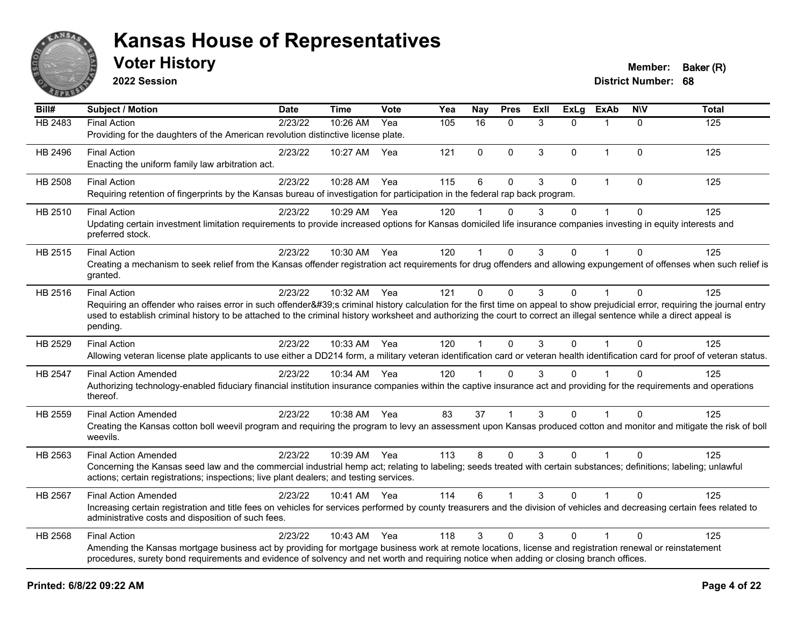

**2022 Session**

| $\overline{BiII#}$ | <b>Subject / Motion</b>                                                                                                                                                                                                                                                                                                                                                                | <b>Date</b> | <b>Time</b>  | Vote | Yea | Nay            | <b>Pres</b>  | ExIl | <b>ExLg</b> | <b>ExAb</b>             | <b>NIV</b>   | <b>Total</b>     |
|--------------------|----------------------------------------------------------------------------------------------------------------------------------------------------------------------------------------------------------------------------------------------------------------------------------------------------------------------------------------------------------------------------------------|-------------|--------------|------|-----|----------------|--------------|------|-------------|-------------------------|--------------|------------------|
| <b>HB 2483</b>     | <b>Final Action</b><br>Providing for the daughters of the American revolution distinctive license plate.                                                                                                                                                                                                                                                                               | 2/23/22     | 10:26 AM     | Yea  | 105 | 16             | $\mathbf{0}$ | 3    | $\Omega$    | $\overline{\mathbf{1}}$ | $\mathbf{0}$ | $\overline{125}$ |
| HB 2496            | <b>Final Action</b><br>Enacting the uniform family law arbitration act.                                                                                                                                                                                                                                                                                                                | 2/23/22     | 10:27 AM     | Yea  | 121 | $\mathbf 0$    | $\mathbf 0$  | 3    | 0           | $\mathbf{1}$            | $\mathbf 0$  | 125              |
| <b>HB 2508</b>     | <b>Final Action</b><br>Requiring retention of fingerprints by the Kansas bureau of investigation for participation in the federal rap back program.                                                                                                                                                                                                                                    | 2/23/22     | 10:28 AM     | Yea  | 115 | 6              | $\Omega$     | 3    | $\Omega$    | $\mathbf 1$             | $\Omega$     | 125              |
| HB 2510            | <b>Final Action</b><br>Updating certain investment limitation requirements to provide increased options for Kansas domiciled life insurance companies investing in equity interests and<br>preferred stock.                                                                                                                                                                            | 2/23/22     | 10:29 AM Yea |      | 120 |                | $\mathbf{0}$ | 3    | $\Omega$    | 1                       | $\mathbf 0$  | 125              |
| HB 2515            | <b>Final Action</b><br>Creating a mechanism to seek relief from the Kansas offender registration act requirements for drug offenders and allowing expungement of offenses when such relief is<br>granted.                                                                                                                                                                              | 2/23/22     | 10:30 AM     | Yea  | 120 | $\mathbf 1$    | $\mathbf{0}$ | 3    | $\Omega$    | 1                       | $\Omega$     | 125              |
| HB 2516            | <b>Final Action</b><br>Requiring an offender who raises error in such offender's criminal history calculation for the first time on appeal to show prejudicial error, requiring the journal entry<br>used to establish criminal history to be attached to the criminal history worksheet and authorizing the court to correct an illegal sentence while a direct appeal is<br>pending. | 2/23/22     | 10:32 AM Yea |      | 121 | $\Omega$       | $\mathbf{0}$ | 3    | $\Omega$    | $\mathbf{1}$            | $\Omega$     | 125              |
| HB 2529            | <b>Final Action</b><br>Allowing veteran license plate applicants to use either a DD214 form, a military veteran identification card or veteran health identification card for proof of veteran status.                                                                                                                                                                                 | 2/23/22     | 10:33 AM Yea |      | 120 | $\mathbf{1}$   | $\Omega$     | 3    | $\Omega$    | $\mathbf{1}$            | $\Omega$     | 125              |
| HB 2547            | <b>Final Action Amended</b><br>Authorizing technology-enabled fiduciary financial institution insurance companies within the captive insurance act and providing for the requirements and operations<br>thereof.                                                                                                                                                                       | 2/23/22     | 10:34 AM Yea |      | 120 | $\overline{1}$ | $\mathbf{0}$ | 3    | 0           |                         | $\Omega$     | 125              |
| HB 2559            | <b>Final Action Amended</b><br>Creating the Kansas cotton boll weevil program and requiring the program to levy an assessment upon Kansas produced cotton and monitor and mitigate the risk of boll<br>weevils.                                                                                                                                                                        | 2/23/22     | 10:38 AM Yea |      | 83  | 37             |              | 3    | $\Omega$    |                         | $\Omega$     | 125              |
| HB 2563            | <b>Final Action Amended</b><br>Concerning the Kansas seed law and the commercial industrial hemp act; relating to labeling; seeds treated with certain substances; definitions; labeling; unlawful<br>actions; certain registrations; inspections; live plant dealers; and testing services.                                                                                           | 2/23/22     | 10:39 AM Yea |      | 113 | 8              | $\mathbf{0}$ | 3    | $\Omega$    |                         | $\Omega$     | 125              |
| HB 2567            | <b>Final Action Amended</b><br>Increasing certain registration and title fees on vehicles for services performed by county treasurers and the division of vehicles and decreasing certain fees related to<br>administrative costs and disposition of such fees.                                                                                                                        | 2/23/22     | 10:41 AM Yea |      | 114 | 6              |              | 3    | $\Omega$    | $\blacktriangleleft$    | $\Omega$     | 125              |
| HB 2568            | <b>Final Action</b><br>Amending the Kansas mortgage business act by providing for mortgage business work at remote locations, license and registration renewal or reinstatement<br>procedures, surety bond requirements and evidence of solvency and net worth and requiring notice when adding or closing branch offices.                                                             | 2/23/22     | 10:43 AM     | Yea  | 118 | 3              | $\Omega$     | 3    | 0           |                         | $\Omega$     | 125              |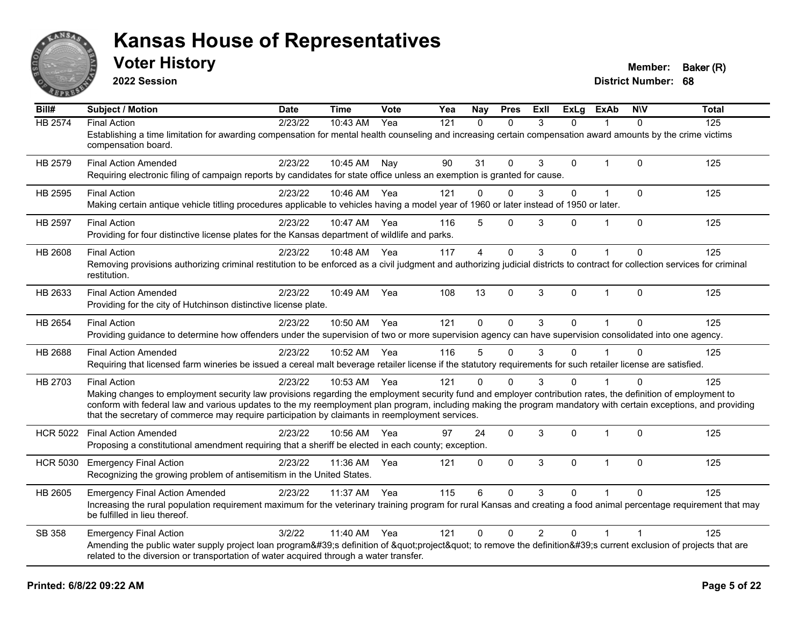

**2022 Session**

**District Number: 68 Voter History Member: Baker (R)** 

**Bill# Subject / Motion Date Time Vote Yea Nay Pres Exll ExLg ExAb N\V Total** HB 2574 Final Action 2/23/22 10:43 AM Yea 121 0 0 3 0 1 0 125 Establishing a time limitation for awarding compensation for mental health counseling and increasing certain compensation award amounts by the crime victims compensation board. HB 2579 Final Action Amended 2/23/22 10:45 AM Nay 90 31 0 3 0 1 0 125 Requiring electronic filing of campaign reports by candidates for state office unless an exemption is granted for cause. HB 2595 Final Action 2/23/22 10:46 AM Yea 121 0 0 3 0 1 0 125 Making certain antique vehicle titling procedures applicable to vehicles having a model year of 1960 or later instead of 1950 or later. HB 2597 Final Action 2/23/22 10:47 AM Yea 116 5 0 3 0 1 0 125 Providing for four distinctive license plates for the Kansas department of wildlife and parks. HB 2608 Final Action 2/23/22 10:48 AM Yea 117 4 0 3 0 1 0 125 Removing provisions authorizing criminal restitution to be enforced as a civil judgment and authorizing judicial districts to contract for collection services for criminal restitution. HB 2633 Final Action Amended 2/23/22 10:49 AM Yea 108 13 0 3 0 1 0 125 Providing for the city of Hutchinson distinctive license plate. HB 2654 Final Action 2/23/22 10:50 AM Yea 121 0 0 3 0 1 0 125 Providing guidance to determine how offenders under the supervision of two or more supervision agency can have supervision consolidated into one agency. HB 2688 Final Action Amended 2023/22 10:52 AM Yea 116 5 0 3 0 1 0 125 Requiring that licensed farm wineries be issued a cereal malt beverage retailer license if the statutory requirements for such retailer license are satisfied. HB 2703 Final Action 2/23/22 10:53 AM Yea 121 0 0 3 0 1 0 125 Making changes to employment security law provisions regarding the employment security fund and employer contribution rates, the definition of employment to conform with federal law and various updates to the my reemployment plan program, including making the program mandatory with certain exceptions, and providing that the secretary of commerce may require participation by claimants in reemployment services. HCR 5022 Final Action Amended 2/23/22 10:56 AM Yea 97 24 0 3 0 1 0 125 Proposing a constitutional amendment requiring that a sheriff be elected in each county; exception. HCR 5030 Emergency Final Action 125 12/23/22 11:36 AM Yea 121 0 0 3 0 1 0 125 Recognizing the growing problem of antisemitism in the United States. HB 2605 Emergency Final Action Amended 2/23/22 11:37 AM Yea 115 6 0 3 0 1 0 125 Increasing the rural population requirement maximum for the veterinary training program for rural Kansas and creating a food animal percentage requirement that may be fulfilled in lieu thereof. SB 358 Emergency Final Action 2012/22 11:40 AM Yea 121 0 0 2 0 1 1 Amending the public water supply project loan program's definition of "project" to remove the definition's current exclusion of projects that are related to the diversion or transportation of water acquired through a water transfer.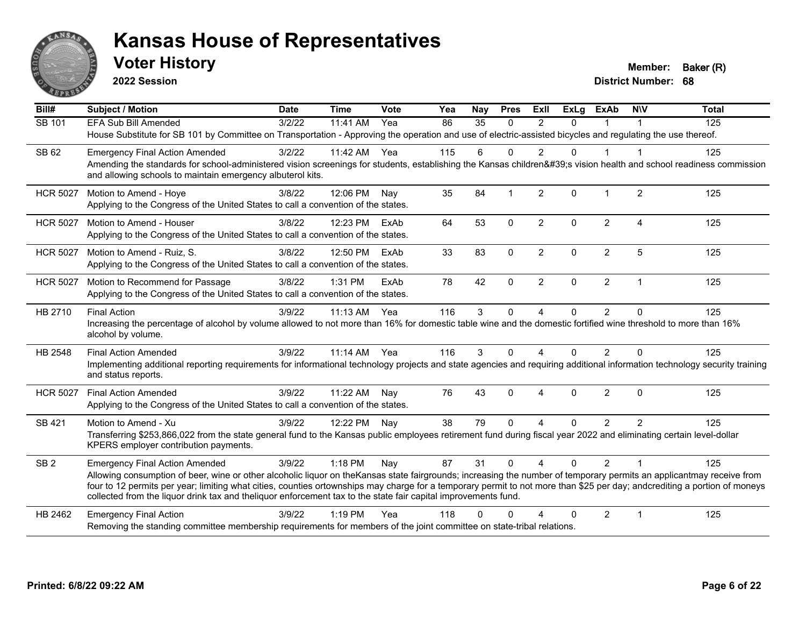

**2022 Session**

**Voter History Member: Baker (R)** 

| $\overline{BiII#}$ | <b>Subject / Motion</b>                                                                                                                                                                                                                                                                     | <b>Date</b> | <b>Time</b>  | Vote | Yea | Nay      | <b>Pres</b>  | <b>ExII</b>    | <b>ExLg</b>  | <b>ExAb</b>    | <b>NIV</b>     | <b>Total</b> |
|--------------------|---------------------------------------------------------------------------------------------------------------------------------------------------------------------------------------------------------------------------------------------------------------------------------------------|-------------|--------------|------|-----|----------|--------------|----------------|--------------|----------------|----------------|--------------|
| SB 101             | EFA Sub Bill Amended                                                                                                                                                                                                                                                                        | 3/2/22      | 11:41 AM     | Yea  | 86  | 35       | $\Omega$     | $\mathcal{P}$  | $\Omega$     |                |                | 125          |
|                    | House Substitute for SB 101 by Committee on Transportation - Approving the operation and use of electric-assisted bicycles and regulating the use thereof.                                                                                                                                  |             |              |      |     |          |              |                |              |                |                |              |
| SB 62              | <b>Emergency Final Action Amended</b>                                                                                                                                                                                                                                                       | 3/2/22      | 11:42 AM Yea |      | 115 | 6        | $\Omega$     | $\overline{2}$ | $\mathbf{0}$ | $\mathbf 1$    | 1              | 125          |
|                    | Amending the standards for school-administered vision screenings for students, establishing the Kansas children's vision health and school readiness commission<br>and allowing schools to maintain emergency albuterol kits.                                                               |             |              |      |     |          |              |                |              |                |                |              |
| <b>HCR 5027</b>    | Motion to Amend - Hoye                                                                                                                                                                                                                                                                      | 3/8/22      | 12:06 PM     | Nav  | 35  | 84       | -1           | 2              | $\Omega$     |                | $\overline{2}$ | 125          |
|                    | Applying to the Congress of the United States to call a convention of the states.                                                                                                                                                                                                           |             |              |      |     |          |              |                |              |                |                |              |
| <b>HCR 5027</b>    | Motion to Amend - Houser                                                                                                                                                                                                                                                                    | 3/8/22      | 12:23 PM     | ExAb | 64  | 53       | $\mathbf 0$  | $\overline{2}$ | $\Omega$     | $\overline{2}$ | 4              | 125          |
|                    | Applying to the Congress of the United States to call a convention of the states.                                                                                                                                                                                                           |             |              |      |     |          |              |                |              |                |                |              |
| <b>HCR 5027</b>    | Motion to Amend - Ruiz, S.                                                                                                                                                                                                                                                                  | 3/8/22      | 12:50 PM     | ExAb | 33  | 83       | $\mathbf{0}$ | $\overline{2}$ | $\Omega$     | $\overline{2}$ | 5              | 125          |
|                    | Applying to the Congress of the United States to call a convention of the states.                                                                                                                                                                                                           |             |              |      |     |          |              |                |              |                |                |              |
| <b>HCR 5027</b>    | Motion to Recommend for Passage                                                                                                                                                                                                                                                             | 3/8/22      | 1:31 PM      | ExAb | 78  | 42       | $\mathbf{0}$ | $\overline{2}$ | $\Omega$     | $\overline{2}$ | $\mathbf 1$    | 125          |
|                    | Applying to the Congress of the United States to call a convention of the states.                                                                                                                                                                                                           |             |              |      |     |          |              |                |              |                |                |              |
| HB 2710            | <b>Final Action</b>                                                                                                                                                                                                                                                                         | 3/9/22      | 11:13 AM     | Yea  | 116 | 3        | $\mathbf 0$  | 4              | 0            | $\overline{2}$ | 0              | 125          |
|                    | Increasing the percentage of alcohol by volume allowed to not more than 16% for domestic table wine and the domestic fortified wine threshold to more than 16%<br>alcohol by volume.                                                                                                        |             |              |      |     |          |              |                |              |                |                |              |
| HB 2548            | <b>Final Action Amended</b>                                                                                                                                                                                                                                                                 | 3/9/22      | 11:14 AM     | Yea  | 116 | 3        | $\mathbf{0}$ | 4              | $\Omega$     | 2              | $\Omega$       | 125          |
|                    | Implementing additional reporting requirements for informational technology projects and state agencies and requiring additional information technology security training<br>and status reports.                                                                                            |             |              |      |     |          |              |                |              |                |                |              |
| <b>HCR 5027</b>    | <b>Final Action Amended</b>                                                                                                                                                                                                                                                                 | 3/9/22      | 11:22 AM     | Nay  | 76  | 43       | $\mathbf{0}$ | 4              | $\mathbf{0}$ | $\overline{2}$ | $\Omega$       | 125          |
|                    | Applying to the Congress of the United States to call a convention of the states.                                                                                                                                                                                                           |             |              |      |     |          |              |                |              |                |                |              |
| SB 421             | Motion to Amend - Xu                                                                                                                                                                                                                                                                        | 3/9/22      | 12:22 PM Nay |      | 38  | 79       | $\Omega$     | 4              | $\Omega$     | $\overline{2}$ | $\overline{2}$ | 125          |
|                    | Transferring \$253,866,022 from the state general fund to the Kansas public employees retirement fund during fiscal year 2022 and eliminating certain level-dollar<br>KPERS employer contribution payments.                                                                                 |             |              |      |     |          |              |                |              |                |                |              |
| SB <sub>2</sub>    | <b>Emergency Final Action Amended</b>                                                                                                                                                                                                                                                       | 3/9/22      | $1:18$ PM    | Nay  | 87  | 31       | $\Omega$     | $\overline{4}$ | $\Omega$     | $\mathcal{P}$  | $\overline{1}$ | 125          |
|                    | Allowing consumption of beer, wine or other alcoholic liquor on the Kansas state fairgrounds; increasing the number of temporary permits an applicantmay receive from                                                                                                                       |             |              |      |     |          |              |                |              |                |                |              |
|                    | four to 12 permits per year; limiting what cities, counties ortownships may charge for a temporary permit to not more than \$25 per day; andcrediting a portion of moneys<br>collected from the liquor drink tax and theliquor enforcement tax to the state fair capital improvements fund. |             |              |      |     |          |              |                |              |                |                |              |
| HB 2462            | <b>Emergency Final Action</b>                                                                                                                                                                                                                                                               | 3/9/22      | $1:19$ PM    | Yea  | 118 | $\Omega$ |              |                | $\Omega$     | $\overline{2}$ | 1              | 125          |
|                    | Removing the standing committee membership requirements for members of the joint committee on state-tribal relations.                                                                                                                                                                       |             |              |      |     |          |              |                |              |                |                |              |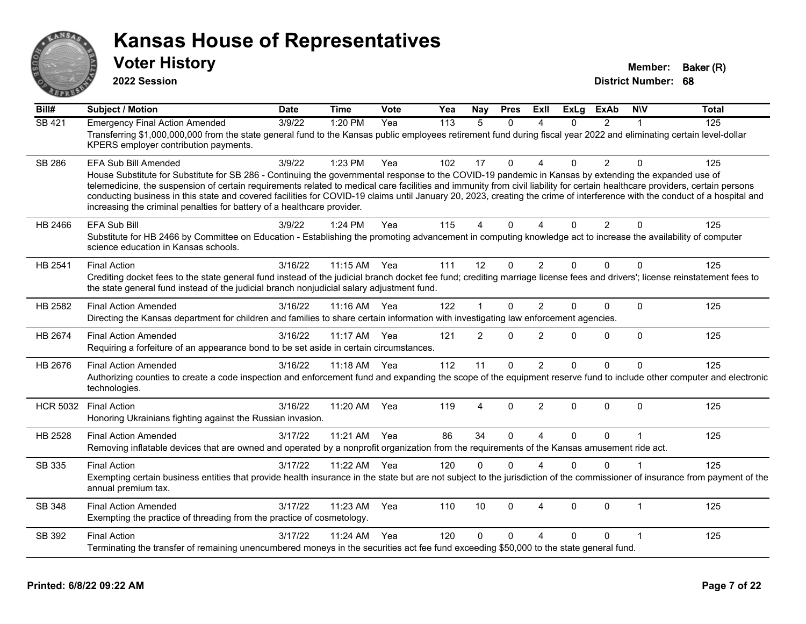

**2022 Session**

**Voter History Member: Baker (R)** 

| $\overline{BiII#}$ | <b>Subject / Motion</b>                                                                                                                                                                                                                                                                                                                                                                                                                                                                                                                                                                                                      | <b>Date</b> | <b>Time</b> | Vote | Yea | Nay            | <b>Pres</b> | ExIl                   | <b>ExLg</b> | <b>ExAb</b>    | <b>NIV</b>   | <b>Total</b> |
|--------------------|------------------------------------------------------------------------------------------------------------------------------------------------------------------------------------------------------------------------------------------------------------------------------------------------------------------------------------------------------------------------------------------------------------------------------------------------------------------------------------------------------------------------------------------------------------------------------------------------------------------------------|-------------|-------------|------|-----|----------------|-------------|------------------------|-------------|----------------|--------------|--------------|
| <b>SB 421</b>      | <b>Emergency Final Action Amended</b><br>Transferring \$1,000,000,000 from the state general fund to the Kansas public employees retirement fund during fiscal year 2022 and eliminating certain level-dollar<br>KPERS employer contribution payments.                                                                                                                                                                                                                                                                                                                                                                       | 3/9/22      | 1:20 PM     | Yea  | 113 | 5              | $\Omega$    | 4                      | 0           | $\overline{2}$ | 1            | 125          |
| <b>SB 286</b>      | <b>EFA Sub Bill Amended</b><br>House Substitute for Substitute for SB 286 - Continuing the governmental response to the COVID-19 pandemic in Kansas by extending the expanded use of<br>telemedicine, the suspension of certain requirements related to medical care facilities and immunity from civil liability for certain healthcare providers, certain persons<br>conducting business in this state and covered facilities for COVID-19 claims until January 20, 2023, creating the crime of interference with the conduct of a hospital and<br>increasing the criminal penalties for battery of a healthcare provider. | 3/9/22      | 1:23 PM     | Yea  | 102 | 17             | $\Omega$    | $\Delta$               | 0           | $\overline{2}$ | $\mathbf{0}$ | 125          |
| HB 2466            | <b>EFA Sub Bill</b><br>Substitute for HB 2466 by Committee on Education - Establishing the promoting advancement in computing knowledge act to increase the availability of computer<br>science education in Kansas schools.                                                                                                                                                                                                                                                                                                                                                                                                 | 3/9/22      | 1:24 PM     | Yea  | 115 | 4              | $\Omega$    | $\boldsymbol{\Lambda}$ | 0           | $\overline{2}$ | $\Omega$     | 125          |
| HB 2541            | <b>Final Action</b><br>Crediting docket fees to the state general fund instead of the judicial branch docket fee fund; crediting marriage license fees and drivers'; license reinstatement fees to<br>the state general fund instead of the judicial branch nonjudicial salary adjustment fund.                                                                                                                                                                                                                                                                                                                              | 3/16/22     | 11:15 AM    | Yea  | 111 | 12             | $\Omega$    | $\overline{2}$         | 0           | $\Omega$       | $\Omega$     | 125          |
| HB 2582            | <b>Final Action Amended</b><br>Directing the Kansas department for children and families to share certain information with investigating law enforcement agencies.                                                                                                                                                                                                                                                                                                                                                                                                                                                           | 3/16/22     | $11:16$ AM  | Yea  | 122 | 1              | $\Omega$    | $\overline{2}$         | 0           | $\Omega$       | $\Omega$     | 125          |
| HB 2674            | <b>Final Action Amended</b><br>Requiring a forfeiture of an appearance bond to be set aside in certain circumstances.                                                                                                                                                                                                                                                                                                                                                                                                                                                                                                        | 3/16/22     | 11:17 AM    | Yea  | 121 | $\overline{2}$ | $\Omega$    | 2                      | 0           | $\mathbf{0}$   | $\mathbf{0}$ | 125          |
| HB 2676            | <b>Final Action Amended</b><br>Authorizing counties to create a code inspection and enforcement fund and expanding the scope of the equipment reserve fund to include other computer and electronic<br>technologies.                                                                                                                                                                                                                                                                                                                                                                                                         | 3/16/22     | 11:18 AM    | Yea  | 112 | 11             | 0           | $\overline{2}$         | 0           | $\Omega$       | $\mathbf 0$  | 125          |
| <b>HCR 5032</b>    | <b>Final Action</b><br>Honoring Ukrainians fighting against the Russian invasion.                                                                                                                                                                                                                                                                                                                                                                                                                                                                                                                                            | 3/16/22     | 11:20 AM    | Yea  | 119 | 4              | $\Omega$    | $\overline{2}$         | 0           | $\Omega$       | $\Omega$     | 125          |
| HB 2528            | <b>Final Action Amended</b><br>Removing inflatable devices that are owned and operated by a nonprofit organization from the requirements of the Kansas amusement ride act.                                                                                                                                                                                                                                                                                                                                                                                                                                                   | 3/17/22     | 11:21 AM    | Yea  | 86  | 34             | $\Omega$    | $\boldsymbol{\Lambda}$ | 0           | $\Omega$       |              | 125          |
| SB 335             | <b>Final Action</b><br>Exempting certain business entities that provide health insurance in the state but are not subject to the jurisdiction of the commissioner of insurance from payment of the<br>annual premium tax.                                                                                                                                                                                                                                                                                                                                                                                                    | 3/17/22     | 11:22 AM    | Yea  | 120 | 0              | $\Omega$    | $\Delta$               | 0           | $\Omega$       |              | 125          |
| <b>SB 348</b>      | <b>Final Action Amended</b><br>Exempting the practice of threading from the practice of cosmetology.                                                                                                                                                                                                                                                                                                                                                                                                                                                                                                                         | 3/17/22     | 11:23 AM    | Yea  | 110 | 10             | $\Omega$    | 4                      | $\Omega$    | $\Omega$       | $\mathbf 1$  | 125          |
| SB 392             | <b>Final Action</b><br>Terminating the transfer of remaining unencumbered moneys in the securities act fee fund exceeding \$50,000 to the state general fund.                                                                                                                                                                                                                                                                                                                                                                                                                                                                | 3/17/22     | 11:24 AM    | Yea  | 120 | 0              | $\Omega$    | $\Delta$               | 0           | 0              |              | 125          |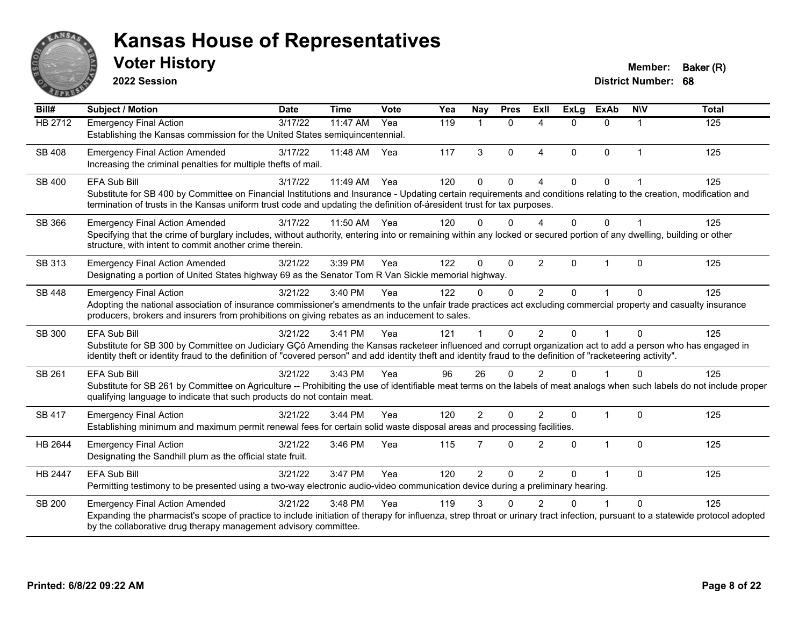

**2022 Session**

| Bill#         | Subject / Motion                                                                                                                                                                                                                                                                                                                                      | <b>Date</b> | <b>Time</b> | Vote | Yea | Nay            | <b>Pres</b>  | ExII                   | <b>ExLg</b> | <b>ExAb</b>  | <b>NIV</b>  | <b>Total</b> |
|---------------|-------------------------------------------------------------------------------------------------------------------------------------------------------------------------------------------------------------------------------------------------------------------------------------------------------------------------------------------------------|-------------|-------------|------|-----|----------------|--------------|------------------------|-------------|--------------|-------------|--------------|
| HB 2712       | <b>Emergency Final Action</b><br>Establishing the Kansas commission for the United States semiquincentennial.                                                                                                                                                                                                                                         | 3/17/22     | 11:47 AM    | Yea  | 119 | $\mathbf 1$    | $\mathbf{0}$ | 4                      | $\Omega$    | 0            | 1           | 125          |
| <b>SB 408</b> | <b>Emergency Final Action Amended</b><br>Increasing the criminal penalties for multiple thefts of mail.                                                                                                                                                                                                                                               | 3/17/22     | 11:48 AM    | Yea  | 117 | 3              | $\Omega$     | $\boldsymbol{\Delta}$  | $\Omega$    | $\Omega$     | $\mathbf 1$ | 125          |
| SB 400        | EFA Sub Bill<br>Substitute for SB 400 by Committee on Financial Institutions and Insurance - Updating certain requirements and conditions relating to the creation, modification and<br>termination of trusts in the Kansas uniform trust code and updating the definition of-áresident trust for tax purposes.                                       | 3/17/22     | 11:49 AM    | Yea  | 120 | $\Omega$       | $\mathbf 0$  |                        | $\Omega$    | $\Omega$     |             | 125          |
| SB 366        | <b>Emergency Final Action Amended</b><br>Specifying that the crime of burglary includes, without authority, entering into or remaining within any locked or secured portion of any dwelling, building or other<br>structure, with intent to commit another crime therein.                                                                             | 3/17/22     | 11:50 AM    | Yea  | 120 | $\Omega$       | $\Omega$     | $\boldsymbol{\Lambda}$ | $\Omega$    | $\Omega$     |             | 125          |
| SB 313        | <b>Emergency Final Action Amended</b><br>Designating a portion of United States highway 69 as the Senator Tom R Van Sickle memorial highway.                                                                                                                                                                                                          | 3/21/22     | 3:39 PM     | Yea  | 122 | $\Omega$       | $\Omega$     | $\overline{2}$         | $\Omega$    | 1            | $\Omega$    | 125          |
| SB 448        | <b>Emergency Final Action</b><br>Adopting the national association of insurance commissioner's amendments to the unfair trade practices act excluding commercial property and casualty insurance<br>producers, brokers and insurers from prohibitions on giving rebates as an inducement to sales.                                                    | 3/21/22     | 3:40 PM     | Yea  | 122 | $\Omega$       | $\Omega$     | $\overline{2}$         | $\Omega$    | 1            | $\Omega$    | 125          |
| SB 300        | <b>EFA Sub Bill</b><br>Substitute for SB 300 by Committee on Judiciary GCô Amending the Kansas racketeer influenced and corrupt organization act to add a person who has engaged in<br>identity theft or identity fraud to the definition of "covered person" and add identity theft and identity fraud to the definition of "racketeering activity". | 3/21/22     | 3:41 PM     | Yea  | 121 |                | $\Omega$     | $\overline{2}$         | $\Omega$    | $\mathbf{1}$ | $\Omega$    | 125          |
| SB 261        | <b>EFA Sub Bill</b><br>Substitute for SB 261 by Committee on Agriculture -- Prohibiting the use of identifiable meat terms on the labels of meat analogs when such labels do not include proper<br>qualifying language to indicate that such products do not contain meat.                                                                            | 3/21/22     | 3:43 PM     | Yea  | 96  | 26             | $\Omega$     | $\overline{2}$         | $\Omega$    | 1            | $\Omega$    | 125          |
| SB 417        | <b>Emergency Final Action</b><br>Establishing minimum and maximum permit renewal fees for certain solid waste disposal areas and processing facilities.                                                                                                                                                                                               | 3/21/22     | 3:44 PM     | Yea  | 120 | $\overline{2}$ | $\Omega$     | $\overline{2}$         | $\Omega$    | 1            | $\Omega$    | 125          |
| HB 2644       | <b>Emergency Final Action</b><br>Designating the Sandhill plum as the official state fruit.                                                                                                                                                                                                                                                           | 3/21/22     | 3:46 PM     | Yea  | 115 | 7              | $\mathbf 0$  | $\overline{2}$         | $\Omega$    | 1            | $\Omega$    | 125          |
| HB 2447       | <b>EFA Sub Bill</b><br>Permitting testimony to be presented using a two-way electronic audio-video communication device during a preliminary hearing.                                                                                                                                                                                                 | 3/21/22     | 3:47 PM     | Yea  | 120 | $\overline{2}$ | $\mathbf 0$  | 2                      | $\Omega$    | 1            | $\Omega$    | 125          |
| <b>SB 200</b> | <b>Emergency Final Action Amended</b><br>Expanding the pharmacist's scope of practice to include initiation of therapy for influenza, strep throat or urinary tract infection, pursuant to a statewide protocol adopted<br>by the collaborative drug therapy management advisory committee.                                                           | 3/21/22     | 3:48 PM     | Yea  | 119 | 3              | $\Omega$     | $\overline{2}$         | $\Omega$    | 1            | $\Omega$    | 125          |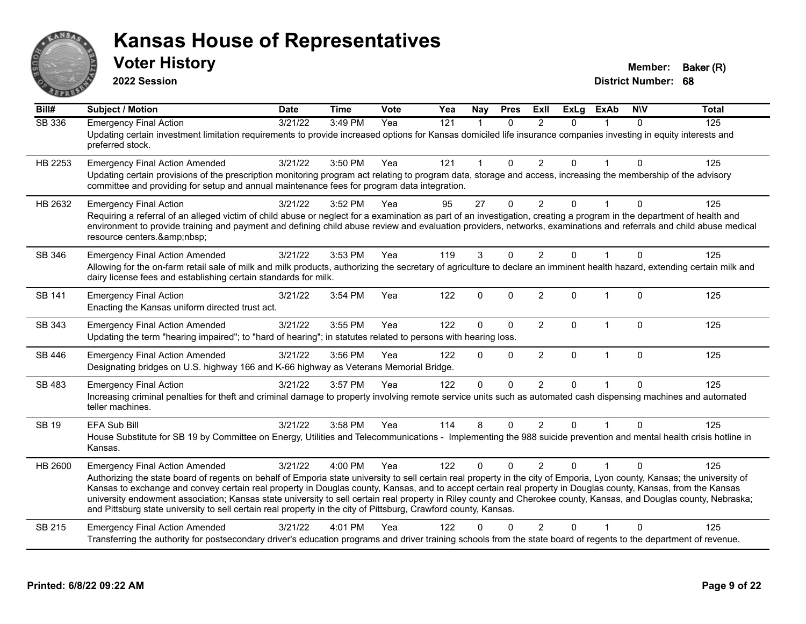

**2022 Session**

| $\overline{Bill#}$ | <b>Subject / Motion</b>                                                                                                                                                                                                                                                                                                                                                                                                                                                                                                                                                                                                             | <b>Date</b> | <b>Time</b> | Vote | Yea | Nay          | <b>Pres</b> | ExII           | <b>ExLg</b> | <b>ExAb</b>  | <b>NIV</b>   | <b>Total</b> |
|--------------------|-------------------------------------------------------------------------------------------------------------------------------------------------------------------------------------------------------------------------------------------------------------------------------------------------------------------------------------------------------------------------------------------------------------------------------------------------------------------------------------------------------------------------------------------------------------------------------------------------------------------------------------|-------------|-------------|------|-----|--------------|-------------|----------------|-------------|--------------|--------------|--------------|
| <b>SB 336</b>      | <b>Emergency Final Action</b>                                                                                                                                                                                                                                                                                                                                                                                                                                                                                                                                                                                                       | 3/21/22     | 3:49 PM     | Yea  | 121 | 1            | $\Omega$    | 2              | $\Omega$    |              | $\Omega$     | 125          |
|                    | Updating certain investment limitation requirements to provide increased options for Kansas domiciled life insurance companies investing in equity interests and<br>preferred stock.                                                                                                                                                                                                                                                                                                                                                                                                                                                |             |             |      |     |              |             |                |             |              |              |              |
| HB 2253            | <b>Emergency Final Action Amended</b>                                                                                                                                                                                                                                                                                                                                                                                                                                                                                                                                                                                               | 3/21/22     | 3:50 PM     | Yea  | 121 | 1            | $\Omega$    | $\overline{2}$ | $\Omega$    | $\mathbf{1}$ | $\Omega$     | 125          |
|                    | Updating certain provisions of the prescription monitoring program act relating to program data, storage and access, increasing the membership of the advisory<br>committee and providing for setup and annual maintenance fees for program data integration.                                                                                                                                                                                                                                                                                                                                                                       |             |             |      |     |              |             |                |             |              |              |              |
| HB 2632            | <b>Emergency Final Action</b>                                                                                                                                                                                                                                                                                                                                                                                                                                                                                                                                                                                                       | 3/21/22     | 3:52 PM     | Yea  | 95  | 27           | $\Omega$    | $\overline{2}$ | 0           |              | $\Omega$     | 125          |
|                    | Requiring a referral of an alleged victim of child abuse or neglect for a examination as part of an investigation, creating a program in the department of health and<br>environment to provide training and payment and defining child abuse review and evaluation providers, networks, examinations and referrals and child abuse medical<br>resource centers.                                                                                                                                                                                                                                                                    |             |             |      |     |              |             |                |             |              |              |              |
| SB 346             | <b>Emergency Final Action Amended</b>                                                                                                                                                                                                                                                                                                                                                                                                                                                                                                                                                                                               | 3/21/22     | 3:53 PM     | Yea  | 119 | 3            | $\Omega$    | $\mathfrak{p}$ | 0           |              | $\Omega$     | 125          |
|                    | Allowing for the on-farm retail sale of milk and milk products, authorizing the secretary of agriculture to declare an imminent health hazard, extending certain milk and<br>dairy license fees and establishing certain standards for milk.                                                                                                                                                                                                                                                                                                                                                                                        |             |             |      |     |              |             |                |             |              |              |              |
| SB 141             | <b>Emergency Final Action</b><br>Enacting the Kansas uniform directed trust act.                                                                                                                                                                                                                                                                                                                                                                                                                                                                                                                                                    | 3/21/22     | 3:54 PM     | Yea  | 122 | 0            | $\Omega$    | $\overline{2}$ | 0           | $\mathbf{1}$ | $\mathbf{0}$ | 125          |
| SB 343             | <b>Emergency Final Action Amended</b>                                                                                                                                                                                                                                                                                                                                                                                                                                                                                                                                                                                               | 3/21/22     | 3:55 PM     | Yea  | 122 | $\mathbf{0}$ | $\Omega$    | 2              | $\Omega$    | $\mathbf{1}$ | $\Omega$     | 125          |
|                    | Updating the term "hearing impaired"; to "hard of hearing"; in statutes related to persons with hearing loss.                                                                                                                                                                                                                                                                                                                                                                                                                                                                                                                       |             |             |      |     |              |             |                |             |              |              |              |
| SB 446             | <b>Emergency Final Action Amended</b><br>Designating bridges on U.S. highway 166 and K-66 highway as Veterans Memorial Bridge.                                                                                                                                                                                                                                                                                                                                                                                                                                                                                                      | 3/21/22     | 3:56 PM     | Yea  | 122 | $\Omega$     | $\Omega$    | $\overline{2}$ | $\Omega$    | $\mathbf{1}$ | $\Omega$     | 125          |
| SB 483             | <b>Emergency Final Action</b>                                                                                                                                                                                                                                                                                                                                                                                                                                                                                                                                                                                                       | 3/21/22     | 3:57 PM     | Yea  | 122 | $\Omega$     | $\Omega$    | $\overline{2}$ | 0           |              | $\Omega$     | 125          |
|                    | Increasing criminal penalties for theft and criminal damage to property involving remote service units such as automated cash dispensing machines and automated<br>teller machines.                                                                                                                                                                                                                                                                                                                                                                                                                                                 |             |             |      |     |              |             |                |             |              |              |              |
| <b>SB 19</b>       | EFA Sub Bill                                                                                                                                                                                                                                                                                                                                                                                                                                                                                                                                                                                                                        | 3/21/22     | 3:58 PM     | Yea  | 114 | 8            | $\Omega$    | 2              | $\Omega$    |              | $\Omega$     | 125          |
|                    | House Substitute for SB 19 by Committee on Energy, Utilities and Telecommunications - Implementing the 988 suicide prevention and mental health crisis hotline in<br>Kansas.                                                                                                                                                                                                                                                                                                                                                                                                                                                        |             |             |      |     |              |             |                |             |              |              |              |
| HB 2600            | <b>Emergency Final Action Amended</b>                                                                                                                                                                                                                                                                                                                                                                                                                                                                                                                                                                                               | 3/21/22     | 4:00 PM     | Yea  | 122 | $\Omega$     | $\Omega$    | $\overline{2}$ | $\Omega$    | $\mathbf{1}$ | $\Omega$     | 125          |
|                    | Authorizing the state board of regents on behalf of Emporia state university to sell certain real property in the city of Emporia, Lyon county, Kansas; the university of<br>Kansas to exchange and convey certain real property in Douglas county, Kansas, and to accept certain real property in Douglas county, Kansas, from the Kansas<br>university endowment association; Kansas state university to sell certain real property in Riley county and Cherokee county, Kansas, and Douglas county, Nebraska;<br>and Pittsburg state university to sell certain real property in the city of Pittsburg, Crawford county, Kansas. |             |             |      |     |              |             |                |             |              |              |              |
| SB 215             | <b>Emergency Final Action Amended</b>                                                                                                                                                                                                                                                                                                                                                                                                                                                                                                                                                                                               | 3/21/22     | $4:01$ PM   | Yea  | 122 | $\Omega$     | $\Omega$    | 2              | $\Omega$    | 1            | $\Omega$     | 125          |
|                    | Transferring the authority for postsecondary driver's education programs and driver training schools from the state board of regents to the department of revenue.                                                                                                                                                                                                                                                                                                                                                                                                                                                                  |             |             |      |     |              |             |                |             |              |              |              |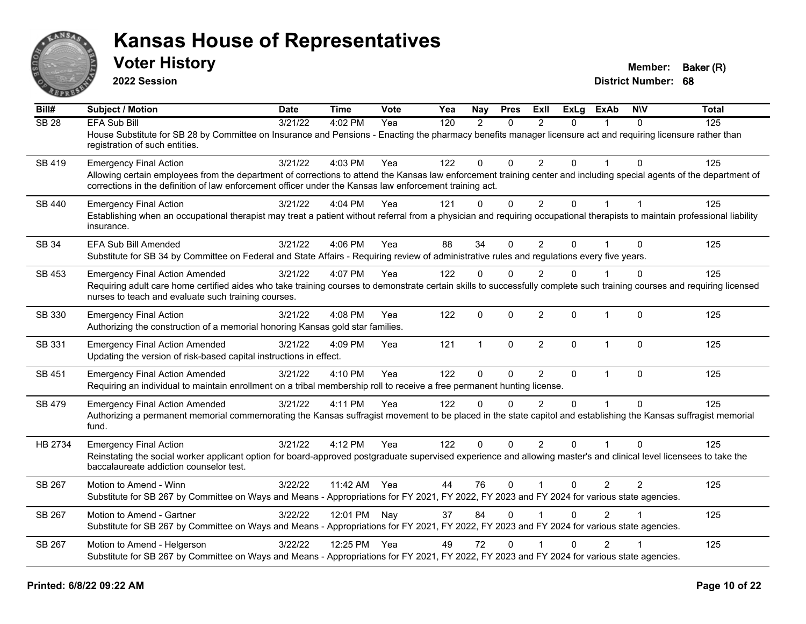

**2022 Session**

| Bill#        | Subject / Motion                                                                                                                                                                                                                                                                                                 | <b>Date</b> | <b>Time</b>  | <b>Vote</b> | Yea | <b>Nay</b>     | <b>Pres</b>  | <b>ExII</b>    | <b>ExLg</b> | <b>ExAb</b>    | <b>NIV</b>     | <b>Total</b> |
|--------------|------------------------------------------------------------------------------------------------------------------------------------------------------------------------------------------------------------------------------------------------------------------------------------------------------------------|-------------|--------------|-------------|-----|----------------|--------------|----------------|-------------|----------------|----------------|--------------|
| <b>SB 28</b> | <b>EFA Sub Bill</b><br>House Substitute for SB 28 by Committee on Insurance and Pensions - Enacting the pharmacy benefits manager licensure act and requiring licensure rather than<br>registration of such entities.                                                                                            | 3/21/22     | 4:02 PM      | Yea         | 120 | $\overline{2}$ | $\Omega$     | $\overline{2}$ | $\Omega$    |                | $\Omega$       | 125          |
| SB 419       | <b>Emergency Final Action</b><br>Allowing certain employees from the department of corrections to attend the Kansas law enforcement training center and including special agents of the department of<br>corrections in the definition of law enforcement officer under the Kansas law enforcement training act. | 3/21/22     | 4:03 PM      | Yea         | 122 | $\mathbf{0}$   | $\Omega$     | $\overline{2}$ | $\Omega$    |                | $\Omega$       | 125          |
| SB 440       | <b>Emergency Final Action</b><br>Establishing when an occupational therapist may treat a patient without referral from a physician and requiring occupational therapists to maintain professional liability<br>insurance.                                                                                        | 3/21/22     | 4:04 PM      | Yea         | 121 | $\mathbf{0}$   | $\mathbf{0}$ | $\overline{2}$ | 0           |                | $\mathbf{1}$   | 125          |
| SB 34        | EFA Sub Bill Amended<br>Substitute for SB 34 by Committee on Federal and State Affairs - Requiring review of administrative rules and regulations every five years.                                                                                                                                              | 3/21/22     | 4:06 PM      | Yea         | 88  | 34             | $\Omega$     | $\overline{2}$ | $\Omega$    |                | $\mathbf{0}$   | 125          |
| SB 453       | <b>Emergency Final Action Amended</b><br>Requiring adult care home certified aides who take training courses to demonstrate certain skills to successfully complete such training courses and requiring licensed<br>nurses to teach and evaluate such training courses.                                          | 3/21/22     | 4:07 PM      | Yea         | 122 | $\mathbf{0}$   | $\Omega$     | 2              | $\Omega$    |                | $\Omega$       | 125          |
| SB 330       | <b>Emergency Final Action</b><br>Authorizing the construction of a memorial honoring Kansas gold star families.                                                                                                                                                                                                  | 3/21/22     | 4:08 PM      | Yea         | 122 | 0              | $\mathbf{0}$ | $\overline{2}$ | $\Omega$    | $\mathbf{1}$   | $\mathbf{0}$   | 125          |
| SB 331       | <b>Emergency Final Action Amended</b><br>Updating the version of risk-based capital instructions in effect.                                                                                                                                                                                                      | 3/21/22     | 4:09 PM      | Yea         | 121 | $\mathbf{1}$   | $\mathbf{0}$ | $\overline{2}$ | $\Omega$    | $\mathbf{1}$   | $\Omega$       | 125          |
| SB 451       | <b>Emergency Final Action Amended</b><br>Requiring an individual to maintain enrollment on a tribal membership roll to receive a free permanent hunting license.                                                                                                                                                 | 3/21/22     | 4:10 PM      | Yea         | 122 | 0              | 0            | $\overline{2}$ | $\mathbf 0$ | $\mathbf{1}$   | $\mathbf{0}$   | 125          |
| SB 479       | <b>Emergency Final Action Amended</b><br>Authorizing a permanent memorial commemorating the Kansas suffragist movement to be placed in the state capitol and establishing the Kansas suffragist memorial<br>fund.                                                                                                | 3/21/22     | 4:11 PM      | Yea         | 122 | $\Omega$       | $\Omega$     | $\mathcal{P}$  | $\Omega$    | $\mathbf{1}$   | $\Omega$       | 125          |
| HB 2734      | <b>Emergency Final Action</b><br>Reinstating the social worker applicant option for board-approved postgraduate supervised experience and allowing master's and clinical level licensees to take the<br>baccalaureate addiction counselor test.                                                                  | 3/21/22     | 4:12 PM      | Yea         | 122 | $\mathbf{0}$   | $\Omega$     | $\overline{2}$ | $\Omega$    | $\mathbf{1}$   | $\Omega$       | 125          |
| SB 267       | Motion to Amend - Winn<br>Substitute for SB 267 by Committee on Ways and Means - Appropriations for FY 2021, FY 2022, FY 2023 and FY 2024 for various state agencies.                                                                                                                                            | 3/22/22     | 11:42 AM Yea |             | 44  | 76             | $\Omega$     | $\mathbf{1}$   | $\Omega$    | 2              | $\overline{2}$ | 125          |
| SB 267       | Motion to Amend - Gartner<br>Substitute for SB 267 by Committee on Ways and Means - Appropriations for FY 2021, FY 2022, FY 2023 and FY 2024 for various state agencies.                                                                                                                                         | 3/22/22     | 12:01 PM     | Nay         | 37  | 84             | $\Omega$     |                | $\Omega$    | $\mathcal{P}$  |                | 125          |
| SB 267       | Motion to Amend - Helgerson<br>Substitute for SB 267 by Committee on Ways and Means - Appropriations for FY 2021, FY 2022, FY 2023 and FY 2024 for various state agencies.                                                                                                                                       | 3/22/22     | 12:25 PM     | Yea         | 49  | 72             | $\Omega$     |                | $\Omega$    | $\overline{2}$ |                | 125          |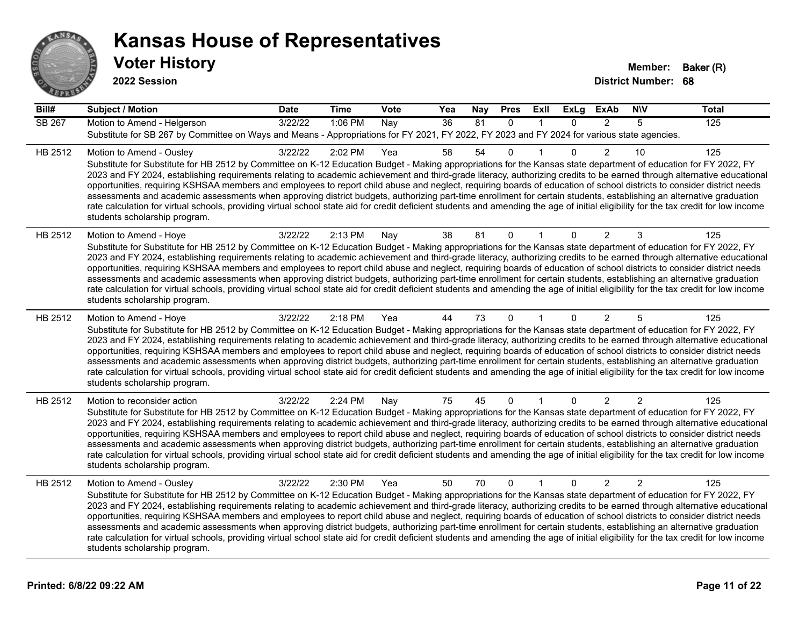

| Bill#         | <b>Subject / Motion</b>                                                                                                                                                                                                                                                                                                                                                                                                                                                                                                                                                                                                                                                                                                                                                                                                                                                                                                                             | <b>Date</b> | <b>Time</b> | Vote | Yea | Nay | <b>Pres</b>  | ExII         | <b>ExLg</b>  | <b>ExAb</b>    | <b>NIV</b>     | <b>Total</b> |
|---------------|-----------------------------------------------------------------------------------------------------------------------------------------------------------------------------------------------------------------------------------------------------------------------------------------------------------------------------------------------------------------------------------------------------------------------------------------------------------------------------------------------------------------------------------------------------------------------------------------------------------------------------------------------------------------------------------------------------------------------------------------------------------------------------------------------------------------------------------------------------------------------------------------------------------------------------------------------------|-------------|-------------|------|-----|-----|--------------|--------------|--------------|----------------|----------------|--------------|
| <b>SB 267</b> | Motion to Amend - Helgerson<br>Substitute for SB 267 by Committee on Ways and Means - Appropriations for FY 2021, FY 2022, FY 2023 and FY 2024 for various state agencies.                                                                                                                                                                                                                                                                                                                                                                                                                                                                                                                                                                                                                                                                                                                                                                          | 3/22/22     | 1:06 PM     | Nay  | 36  | 81  | $\Omega$     | $\mathbf{1}$ | $\Omega$     | $\mathcal{P}$  | 5              | 125          |
| HB 2512       | Motion to Amend - Ousley<br>Substitute for Substitute for HB 2512 by Committee on K-12 Education Budget - Making appropriations for the Kansas state department of education for FY 2022, FY<br>2023 and FY 2024, establishing requirements relating to academic achievement and third-grade literacy, authorizing credits to be earned through alternative educational<br>opportunities, requiring KSHSAA members and employees to report child abuse and neglect, requiring boards of education of school districts to consider district needs<br>assessments and academic assessments when approving district budgets, authorizing part-time enrollment for certain students, establishing an alternative graduation<br>rate calculation for virtual schools, providing virtual school state aid for credit deficient students and amending the age of initial eligibility for the tax credit for low income<br>students scholarship program.    | 3/22/22     | 2:02 PM     | Yea  | 58  | 54  | $\Omega$     |              | 0            | 2              | 10             | 125          |
| HB 2512       | Motion to Amend - Hoye<br>Substitute for Substitute for HB 2512 by Committee on K-12 Education Budget - Making appropriations for the Kansas state department of education for FY 2022, FY<br>2023 and FY 2024, establishing requirements relating to academic achievement and third-grade literacy, authorizing credits to be earned through alternative educational<br>opportunities, requiring KSHSAA members and employees to report child abuse and neglect, requiring boards of education of school districts to consider district needs<br>assessments and academic assessments when approving district budgets, authorizing part-time enrollment for certain students, establishing an alternative graduation<br>rate calculation for virtual schools, providing virtual school state aid for credit deficient students and amending the age of initial eligibility for the tax credit for low income<br>students scholarship program.      | 3/22/22     | 2:13 PM     | Nay  | 38  | 81  | 0            |              | $\mathbf{0}$ | 2              | 3              | 125          |
| HB 2512       | Motion to Amend - Hoye<br>Substitute for Substitute for HB 2512 by Committee on K-12 Education Budget - Making appropriations for the Kansas state department of education for FY 2022, FY<br>2023 and FY 2024, establishing requirements relating to academic achievement and third-grade literacy, authorizing credits to be earned through alternative educational<br>opportunities, requiring KSHSAA members and employees to report child abuse and neglect, requiring boards of education of school districts to consider district needs<br>assessments and academic assessments when approving district budgets, authorizing part-time enrollment for certain students, establishing an alternative graduation<br>rate calculation for virtual schools, providing virtual school state aid for credit deficient students and amending the age of initial eligibility for the tax credit for low income<br>students scholarship program.      | 3/22/22     | 2:18 PM     | Yea  | 44  | 73  | $\Omega$     |              | $\mathbf{0}$ | $\overline{2}$ | 5              | 125          |
| HB 2512       | Motion to reconsider action<br>Substitute for Substitute for HB 2512 by Committee on K-12 Education Budget - Making appropriations for the Kansas state department of education for FY 2022, FY<br>2023 and FY 2024, establishing requirements relating to academic achievement and third-grade literacy, authorizing credits to be earned through alternative educational<br>opportunities, requiring KSHSAA members and employees to report child abuse and neglect, requiring boards of education of school districts to consider district needs<br>assessments and academic assessments when approving district budgets, authorizing part-time enrollment for certain students, establishing an alternative graduation<br>rate calculation for virtual schools, providing virtual school state aid for credit deficient students and amending the age of initial eligibility for the tax credit for low income<br>students scholarship program. | 3/22/22     | 2:24 PM     | Nay  | 75  | 45  | 0            |              | $\mathbf{0}$ | $\overline{2}$ | $\overline{2}$ | 125          |
| HB 2512       | Motion to Amend - Ousley<br>Substitute for Substitute for HB 2512 by Committee on K-12 Education Budget - Making appropriations for the Kansas state department of education for FY 2022, FY<br>2023 and FY 2024, establishing requirements relating to academic achievement and third-grade literacy, authorizing credits to be earned through alternative educational<br>opportunities, requiring KSHSAA members and employees to report child abuse and neglect, requiring boards of education of school districts to consider district needs<br>assessments and academic assessments when approving district budgets, authorizing part-time enrollment for certain students, establishing an alternative graduation<br>rate calculation for virtual schools, providing virtual school state aid for credit deficient students and amending the age of initial eligibility for the tax credit for low income<br>students scholarship program.    | 3/22/22     | 2:30 PM     | Yea  | 50  | 70  | $\mathbf{0}$ | $\mathbf{1}$ | $\Omega$     | $\overline{2}$ | 2              | 125          |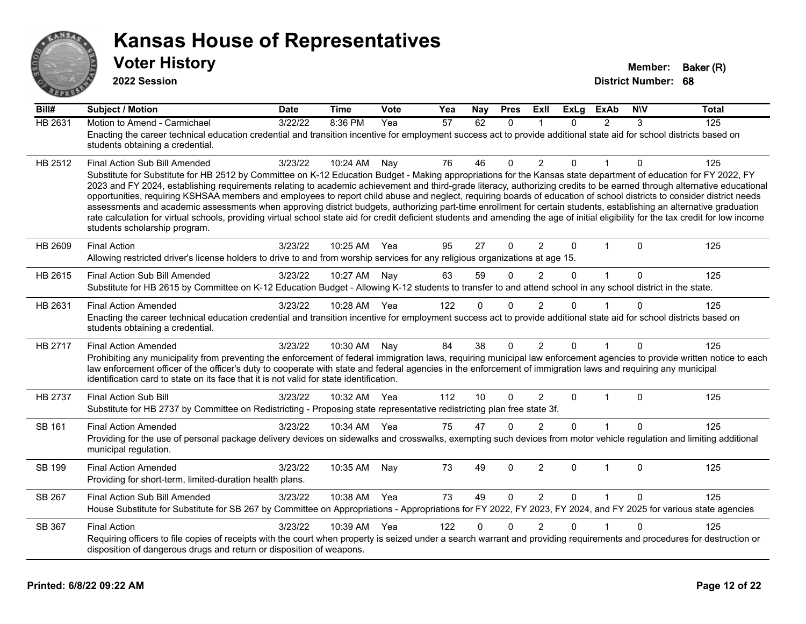

**2022 Session**

**Bill# Subject / Motion Date Time Vote Yea Nay Pres Exll ExLg ExAb N\V Total** HB 2631 Motion to Amend - Carmichael 3/22/22 8:36 PM Yea 57 62 0 1 0 2 3 125 Enacting the career technical education credential and transition incentive for employment success act to provide additional state aid for school districts based on students obtaining a credential. HB 2512 Final Action Sub Bill Amended 3/23/22 10:24 AM Nav 76 46 0 2 0 1 0 125 Substitute for Substitute for HB 2512 by Committee on K-12 Education Budget - Making appropriations for the Kansas state department of education for FY 2022, FY 2023 and FY 2024, establishing requirements relating to academic achievement and third-grade literacy, authorizing credits to be earned through alternative educational opportunities, requiring KSHSAA members and employees to report child abuse and neglect, requiring boards of education of school districts to consider district needs assessments and academic assessments when approving district budgets, authorizing part-time enrollment for certain students, establishing an alternative graduation rate calculation for virtual schools, providing virtual school state aid for credit deficient students and amending the age of initial eligibility for the tax credit for low income students scholarship program. HB 2609 Final Action 3/23/22 10:25 AM Yea 95 27 0 2 0 1 0 125 Allowing restricted driver's license holders to drive to and from worship services for any religious organizations at age 15. HB 2615 Final Action Sub Bill Amended 3/23/22 10:27 AM Nav 63 59 0 2 0 1 0 125 Substitute for HB 2615 by Committee on K-12 Education Budget - Allowing K-12 students to transfer to and attend school in any school district in the state. HB 2631 Final Action Amended 3/23/22 10:28 AM Yea 122 0 0 2 0 1 0 125 Enacting the career technical education credential and transition incentive for employment success act to provide additional state aid for school districts based on students obtaining a credential. HB 2717 Final Action Amended a and the 3/23/22 10:30 AM Nay 84 38 0 2 0 1 0 125 Prohibiting any municipality from preventing the enforcement of federal immigration laws, requiring municipal law enforcement agencies to provide written notice to each law enforcement officer of the officer's duty to cooperate with state and federal agencies in the enforcement of immigration laws and requiring any municipal identification card to state on its face that it is not valid for state identification. HB 2737 Final Action Sub Bill 3/23/22 10:32 AM Yea 112 10 0 2 0 1 0 125 Substitute for HB 2737 by Committee on Redistricting - Proposing state representative redistricting plan free state 3f. SB 161 Final Action Amended a and 3/23/22 10:34 AM Yea 375 47 0 2 0 1 0 125 Providing for the use of personal package delivery devices on sidewalks and crosswalks, exempting such devices from motor vehicle regulation and limiting additional municipal regulation. SB 199 Final Action Amended a and 3/23/22 10:35 AM Nay 73 49 0 2 0 1 0 125 Providing for short-term, limited-duration health plans. SB 267 Final Action Sub Bill Amended 3/23/22 10:38 AM Yea 73 49 0 2 0 1 0 125 House Substitute for Substitute for SB 267 by Committee on Appropriations - Appropriations for FY 2022, FY 2023, FY 2024, and FY 2025 for various state agencies SB 367 Final Action 3/23/22 10:39 AM Yea 122 0 2 0 1 0 125 Requiring officers to file copies of receipts with the court when property is seized under a search warrant and providing requirements and procedures for destruction or disposition of dangerous drugs and return or disposition of weapons.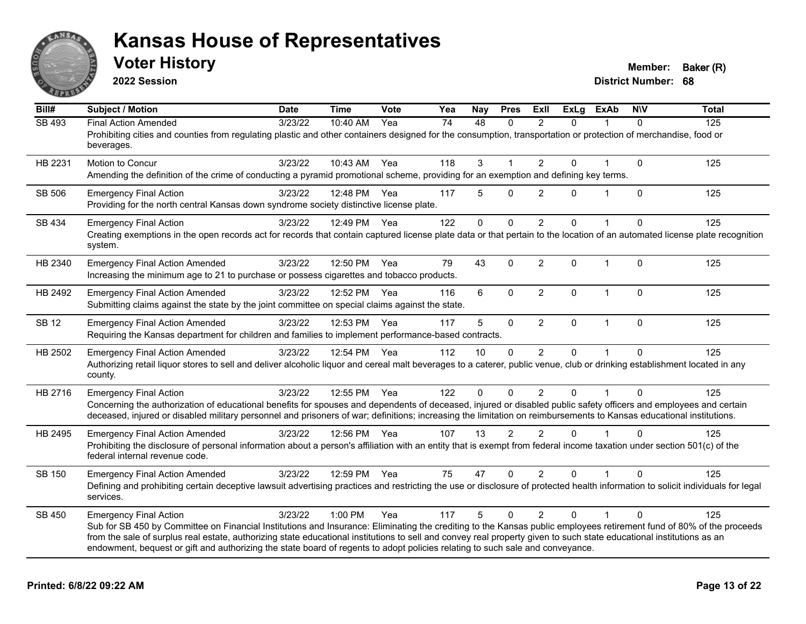

**2022 Session**

| Bill#         | <b>Subject / Motion</b>                                                                                                                                                                                                                                                                                                                                                                                                                                                                                        | <b>Date</b> | <b>Time</b>  | Vote | Yea | Nay          | <b>Pres</b>    | <b>ExII</b>    | <b>ExLg</b> | <b>ExAb</b>  | <b>NIV</b>  | <b>Total</b> |
|---------------|----------------------------------------------------------------------------------------------------------------------------------------------------------------------------------------------------------------------------------------------------------------------------------------------------------------------------------------------------------------------------------------------------------------------------------------------------------------------------------------------------------------|-------------|--------------|------|-----|--------------|----------------|----------------|-------------|--------------|-------------|--------------|
| SB 493        | <b>Final Action Amended</b><br>Prohibiting cities and counties from regulating plastic and other containers designed for the consumption, transportation or protection of merchandise, food or<br>beverages.                                                                                                                                                                                                                                                                                                   | 3/23/22     | 10:40 AM     | Yea  | 74  | 48           | $\Omega$       | 2              | $\Omega$    |              | $\Omega$    | 125          |
| HB 2231       | <b>Motion to Concur</b><br>Amending the definition of the crime of conducting a pyramid promotional scheme, providing for an exemption and defining key terms.                                                                                                                                                                                                                                                                                                                                                 | 3/23/22     | 10:43 AM     | Yea  | 118 | 3            | 1              | $\overline{2}$ | $\Omega$    |              | $\mathbf 0$ | 125          |
| SB 506        | <b>Emergency Final Action</b><br>Providing for the north central Kansas down syndrome society distinctive license plate.                                                                                                                                                                                                                                                                                                                                                                                       | 3/23/22     | 12:48 PM     | Yea  | 117 | 5            | $\Omega$       | $\overline{2}$ | 0           | 1            | $\Omega$    | 125          |
| SB 434        | <b>Emergency Final Action</b><br>Creating exemptions in the open records act for records that contain captured license plate data or that pertain to the location of an automated license plate recognition<br>system.                                                                                                                                                                                                                                                                                         | 3/23/22     | 12:49 PM     | Yea  | 122 | $\mathbf{0}$ | 0              | $\overline{2}$ | $\Omega$    |              | $\mathbf 0$ | 125          |
| HB 2340       | <b>Emergency Final Action Amended</b><br>Increasing the minimum age to 21 to purchase or possess cigarettes and tobacco products.                                                                                                                                                                                                                                                                                                                                                                              | 3/23/22     | 12:50 PM     | Yea  | 79  | 43           | $\Omega$       | $\overline{2}$ | $\Omega$    | $\mathbf{1}$ | $\Omega$    | 125          |
| HB 2492       | <b>Emergency Final Action Amended</b><br>Submitting claims against the state by the joint committee on special claims against the state.                                                                                                                                                                                                                                                                                                                                                                       | 3/23/22     | 12:52 PM     | Yea  | 116 | 6            | $\Omega$       | $\overline{2}$ | $\Omega$    | $\mathbf{1}$ | $\Omega$    | 125          |
| <b>SB 12</b>  | <b>Emergency Final Action Amended</b><br>Requiring the Kansas department for children and families to implement performance-based contracts.                                                                                                                                                                                                                                                                                                                                                                   | 3/23/22     | 12:53 PM     | Yea  | 117 | 5            | $\mathbf 0$    | $\overline{2}$ | $\Omega$    | $\mathbf{1}$ | $\Omega$    | 125          |
| HB 2502       | <b>Emergency Final Action Amended</b><br>Authorizing retail liquor stores to sell and deliver alcoholic liquor and cereal malt beverages to a caterer, public venue, club or drinking establishment located in any<br>county.                                                                                                                                                                                                                                                                                  | 3/23/22     | 12:54 PM Yea |      | 112 | 10           | $\mathbf{0}$   | $\overline{2}$ | 0           |              | $\Omega$    | 125          |
| HB 2716       | <b>Emergency Final Action</b><br>Concerning the authorization of educational benefits for spouses and dependents of deceased, injured or disabled public safety officers and employees and certain<br>deceased, injured or disabled military personnel and prisoners of war; definitions; increasing the limitation on reimbursements to Kansas educational institutions.                                                                                                                                      | 3/23/22     | 12:55 PM     | Yea  | 122 | 0            | $\Omega$       | 2              | $\Omega$    | 1            | $\Omega$    | 125          |
| HB 2495       | <b>Emergency Final Action Amended</b><br>Prohibiting the disclosure of personal information about a person's affiliation with an entity that is exempt from federal income taxation under section 501(c) of the<br>federal internal revenue code.                                                                                                                                                                                                                                                              | 3/23/22     | 12:56 PM     | Yea  | 107 | 13           | $\overline{2}$ | $\overline{2}$ | $\Omega$    |              | $\Omega$    | 125          |
| <b>SB 150</b> | <b>Emergency Final Action Amended</b><br>Defining and prohibiting certain deceptive lawsuit advertising practices and restricting the use or disclosure of protected health information to solicit individuals for legal<br>services.                                                                                                                                                                                                                                                                          | 3/23/22     | 12:59 PM Yea |      | 75  | 47           | $\Omega$       | 2              | $\Omega$    |              | $\Omega$    | 125          |
| SB 450        | <b>Emergency Final Action</b><br>Sub for SB 450 by Committee on Financial Institutions and Insurance: Eliminating the crediting to the Kansas public employees retirement fund of 80% of the proceeds<br>from the sale of surplus real estate, authorizing state educational institutions to sell and convey real property given to such state educational institutions as an<br>endowment, bequest or gift and authorizing the state board of regents to adopt policies relating to such sale and conveyance. | 3/23/22     | 1:00 PM      | Yea  | 117 | 5            | $\Omega$       | $\overline{2}$ | $\Omega$    | 1            | $\Omega$    | 125          |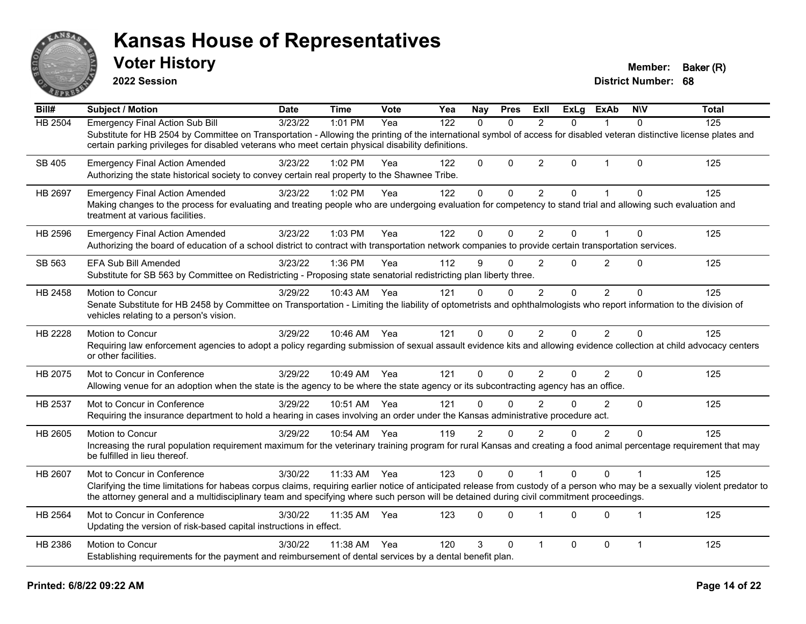

**2022 Session**

| $\overline{BiII#}$ | <b>Subject / Motion</b>                                                                                                                                                                                                                                                                                                                                 | <b>Date</b> | <b>Time</b>  | Vote | Yea | Nay            | <b>Pres</b>  | Exll           | <b>ExLg</b>  | <b>ExAb</b>    | <b>NIV</b>   | <b>Total</b> |
|--------------------|---------------------------------------------------------------------------------------------------------------------------------------------------------------------------------------------------------------------------------------------------------------------------------------------------------------------------------------------------------|-------------|--------------|------|-----|----------------|--------------|----------------|--------------|----------------|--------------|--------------|
| HB 2504            | <b>Emergency Final Action Sub Bill</b><br>Substitute for HB 2504 by Committee on Transportation - Allowing the printing of the international symbol of access for disabled veteran distinctive license plates and<br>certain parking privileges for disabled veterans who meet certain physical disability definitions.                                 | 3/23/22     | $1:01$ PM    | Yea  | 122 | $\Omega$       | $\Omega$     | $\mathfrak{p}$ | $\Omega$     |                | $\Omega$     | 125          |
| SB 405             | <b>Emergency Final Action Amended</b><br>Authorizing the state historical society to convey certain real property to the Shawnee Tribe.                                                                                                                                                                                                                 | 3/23/22     | 1:02 PM      | Yea  | 122 | $\Omega$       | $\Omega$     | 2              | $\mathbf{0}$ | -1             | $\Omega$     | 125          |
| HB 2697            | <b>Emergency Final Action Amended</b><br>Making changes to the process for evaluating and treating people who are undergoing evaluation for competency to stand trial and allowing such evaluation and<br>treatment at various facilities.                                                                                                              | 3/23/22     | 1:02 PM      | Yea  | 122 | $\pmb{0}$      | $\Omega$     | $\overline{2}$ | $\Omega$     | $\mathbf{1}$   | $\Omega$     | 125          |
| HB 2596            | <b>Emergency Final Action Amended</b><br>Authorizing the board of education of a school district to contract with transportation network companies to provide certain transportation services.                                                                                                                                                          | 3/23/22     | 1:03 PM      | Yea  | 122 | $\Omega$       | $\Omega$     | 2              | 0            |                | $\Omega$     | 125          |
| SB 563             | <b>EFA Sub Bill Amended</b><br>Substitute for SB 563 by Committee on Redistricting - Proposing state senatorial redistricting plan liberty three.                                                                                                                                                                                                       | 3/23/22     | 1:36 PM      | Yea  | 112 | 9              | $\Omega$     | 2              | $\Omega$     | $\overline{2}$ | $\Omega$     | 125          |
| HB 2458            | Motion to Concur<br>Senate Substitute for HB 2458 by Committee on Transportation - Limiting the liability of optometrists and ophthalmologists who report information to the division of<br>vehicles relating to a person's vision.                                                                                                                     | 3/29/22     | 10:43 AM     | Yea  | 121 | 0              | $\Omega$     | 2              | $\Omega$     | 2              | $\Omega$     | 125          |
| HB 2228            | <b>Motion to Concur</b><br>Requiring law enforcement agencies to adopt a policy regarding submission of sexual assault evidence kits and allowing evidence collection at child advocacy centers<br>or other facilities.                                                                                                                                 | 3/29/22     | 10:46 AM Yea |      | 121 | 0              | $\Omega$     | $\overline{2}$ | $\Omega$     | 2              | 0            | 125          |
| HB 2075            | Mot to Concur in Conference<br>Allowing venue for an adoption when the state is the agency to be where the state agency or its subcontracting agency has an office.                                                                                                                                                                                     | 3/29/22     | 10:49 AM     | Yea  | 121 | $\Omega$       | $\Omega$     | $\mathfrak{p}$ | $\Omega$     | $\overline{2}$ | $\mathbf{0}$ | 125          |
| HB 2537            | Mot to Concur in Conference<br>Requiring the insurance department to hold a hearing in cases involving an order under the Kansas administrative procedure act.                                                                                                                                                                                          | 3/29/22     | 10:51 AM     | Yea  | 121 | $\Omega$       | $\Omega$     | $\overline{2}$ | $\Omega$     | 2              | $\Omega$     | 125          |
| HB 2605            | Motion to Concur<br>Increasing the rural population requirement maximum for the veterinary training program for rural Kansas and creating a food animal percentage requirement that may<br>be fulfilled in lieu thereof.                                                                                                                                | 3/29/22     | 10:54 AM     | Yea  | 119 | $\overline{2}$ | $\Omega$     | $\mathfrak{p}$ | $\Omega$     | 2              | $\Omega$     | 125          |
| HB 2607            | Mot to Concur in Conference<br>Clarifying the time limitations for habeas corpus claims, requiring earlier notice of anticipated release from custody of a person who may be a sexually violent predator to<br>the attorney general and a multidisciplinary team and specifying where such person will be detained during civil commitment proceedings. | 3/30/22     | 11:33 AM     | Yea  | 123 | 0              | $\mathbf{0}$ |                | $\Omega$     | $\mathbf{0}$   |              | 125          |
| HB 2564            | Mot to Concur in Conference<br>Updating the version of risk-based capital instructions in effect.                                                                                                                                                                                                                                                       | 3/30/22     | 11:35 AM     | Yea  | 123 | 0              | $\Omega$     | 1              | $\Omega$     | $\mathbf 0$    |              | 125          |
| HB 2386            | Motion to Concur<br>Establishing requirements for the payment and reimbursement of dental services by a dental benefit plan.                                                                                                                                                                                                                            | 3/30/22     | 11:38 AM     | Yea  | 120 | 3              | $\Omega$     | 1              | $\Omega$     | $\Omega$       | 1            | 125          |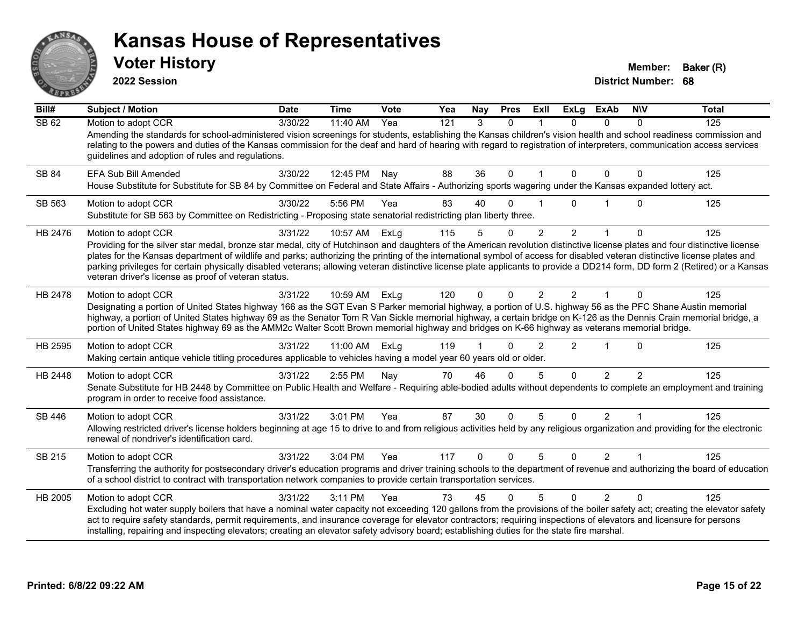

**2022 Session**

**District Number: 68 Voter History Member: Baker (R)** 

**Bill# Subject / Motion Date Time Vote Yea Nay Pres Exll ExLg ExAb N\V Total** SB 62 Motion to adopt CCR 3/30/22 11:40 AM Yea 121 3 0 1 0 0 0 125 Amending the standards for school-administered vision screenings for students, establishing the Kansas children's vision health and school readiness commission and relating to the powers and duties of the Kansas commission for the deaf and hard of hearing with regard to registration of interpreters, communication access services guidelines and adoption of rules and regulations. SB 84 EFA Sub Bill Amended 3/30/22 12:45 PM Nav 88 36 0 1 0 0 0 125 House Substitute for Substitute for SB 84 by Committee on Federal and State Affairs - Authorizing sports wagering under the Kansas expanded lottery act. SB 563 Motion to adopt CCR 3/30/22 5:56 PM Yea 83 40 0 1 0 1 0 125 Substitute for SB 563 by Committee on Redistricting - Proposing state senatorial redistricting plan liberty three. HB 2476 Motion to adopt CCR and the 3/31/22 10:57 AM ExLg 115 5 0 2 2 1 0 125 Providing for the silver star medal, bronze star medal, city of Hutchinson and daughters of the American revolution distinctive license plates and four distinctive license plates for the Kansas department of wildlife and parks; authorizing the printing of the international symbol of access for disabled veteran distinctive license plates and parking privileges for certain physically disabled veterans; allowing veteran distinctive license plate applicants to provide a DD214 form, DD form 2 (Retired) or a Kansas veteran driver's license as proof of veteran status. HB 2478 Motion to adopt CCR 3/31/22 10:59 AM ExLg 120 0 0 2 2 1 0 125 Designating a portion of United States highway 166 as the SGT Evan S Parker memorial highway, a portion of U.S. highway 56 as the PFC Shane Austin memorial highway, a portion of United States highway 69 as the Senator Tom R Van Sickle memorial highway, a certain bridge on K-126 as the Dennis Crain memorial bridge, a portion of United States highway 69 as the AMM2c Walter Scott Brown memorial highway and bridges on K-66 highway as veterans memorial bridge. HB 2595 Motion to adopt CCR 3/31/22 11:00 AM ExLg 119 1 0 2 2 1 0 125 Making certain antique vehicle titling procedures applicable to vehicles having a model year 60 years old or older. HB 2448 Motion to adopt CCR 3/31/22 2:55 PM Nay 70 46 0 5 0 2 2 125 Senate Substitute for HB 2448 by Committee on Public Health and Welfare - Requiring able-bodied adults without dependents to complete an employment and training program in order to receive food assistance. SB 446 Motion to adopt CCR 3/31/22 3:01 PM Yea 87 30 0 5 0 2 1 125 Allowing restricted driver's license holders beginning at age 15 to drive to and from religious activities held by any religious organization and providing for the electronic renewal of nondriver's identification card. SB 215 Motion to adopt CCR 3/31/22 3:04 PM Yea 117 0 0 5 0 2 1 125 Transferring the authority for postsecondary driver's education programs and driver training schools to the department of revenue and authorizing the board of education of a school district to contract with transportation network companies to provide certain transportation services. HB 2005 Motion to adopt CCR 3/31/22 3:11 PM Yea 73 45 0 5 0 2 0 125 Excluding hot water supply boilers that have a nominal water capacity not exceeding 120 gallons from the provisions of the boiler safety act; creating the elevator safety act to require safety standards, permit requirements, and insurance coverage for elevator contractors; requiring inspections of elevators and licensure for persons installing, repairing and inspecting elevators; creating an elevator safety advisory board; establishing duties for the state fire marshal.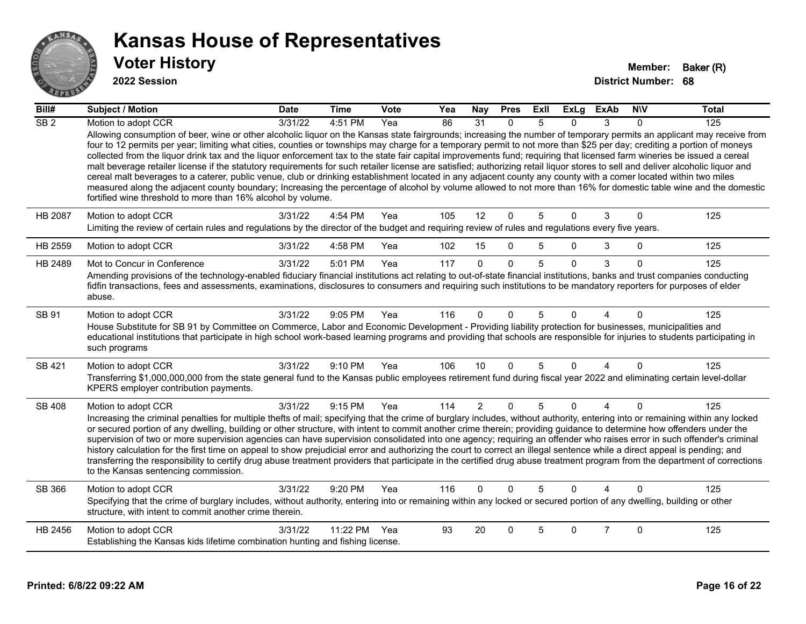

| Bill#            | <b>Subject / Motion</b>                                                                                                                                                                                                                                                                                                                                                                                                                                                                                                                                                                                                                                                                                                                                                                                                                                                                                                                                     | <b>Date</b> | <b>Time</b> | Vote | Yea | Nay            | <b>Pres</b>  | ExII | ExLg           | <b>ExAb</b>    | <b>NIV</b> | <b>Total</b> |
|------------------|-------------------------------------------------------------------------------------------------------------------------------------------------------------------------------------------------------------------------------------------------------------------------------------------------------------------------------------------------------------------------------------------------------------------------------------------------------------------------------------------------------------------------------------------------------------------------------------------------------------------------------------------------------------------------------------------------------------------------------------------------------------------------------------------------------------------------------------------------------------------------------------------------------------------------------------------------------------|-------------|-------------|------|-----|----------------|--------------|------|----------------|----------------|------------|--------------|
| $\overline{SB2}$ | Motion to adopt CCR<br>Allowing consumption of beer, wine or other alcoholic liquor on the Kansas state fairgrounds; increasing the number of temporary permits an applicant may receive from                                                                                                                                                                                                                                                                                                                                                                                                                                                                                                                                                                                                                                                                                                                                                               | 3/31/22     | 4:51 PM     | Yea  | 86  | 31             | $\Omega$     | 5    | 0              | 3              | $\Omega$   | 125          |
|                  | four to 12 permits per year; limiting what cities, counties or townships may charge for a temporary permit to not more than \$25 per day; crediting a portion of moneys<br>collected from the liquor drink tax and the liquor enforcement tax to the state fair capital improvements fund; requiring that licensed farm wineries be issued a cereal<br>malt beverage retailer license if the statutory requirements for such retailer license are satisfied; authorizing retail liquor stores to sell and deliver alcoholic liquor and<br>cereal malt beverages to a caterer, public venue, club or drinking establishment located in any adjacent county any county with a comer located within two miles<br>measured along the adjacent county boundary; Increasing the percentage of alcohol by volume allowed to not more than 16% for domestic table wine and the domestic<br>fortified wine threshold to more than 16% alcohol by volume.             |             |             |      |     |                |              |      |                |                |            |              |
| HB 2087          | Motion to adopt CCR<br>Limiting the review of certain rules and regulations by the director of the budget and requiring review of rules and regulations every five years.                                                                                                                                                                                                                                                                                                                                                                                                                                                                                                                                                                                                                                                                                                                                                                                   | 3/31/22     | 4:54 PM     | Yea  | 105 | 12             | $\mathbf{0}$ | 5    | $\Omega$       | 3              | $\Omega$   | 125          |
| HB 2559          | Motion to adopt CCR                                                                                                                                                                                                                                                                                                                                                                                                                                                                                                                                                                                                                                                                                                                                                                                                                                                                                                                                         | 3/31/22     | 4:58 PM     | Yea  | 102 | 15             | $\Omega$     | 5    | $\Omega$       | 3              | $\Omega$   | 125          |
| HB 2489          | Mot to Concur in Conference                                                                                                                                                                                                                                                                                                                                                                                                                                                                                                                                                                                                                                                                                                                                                                                                                                                                                                                                 | 3/31/22     | 5:01 PM     | Yea  | 117 | $\Omega$       | $\Omega$     | 5    | $\Omega$       | 3              | $\Omega$   | 125          |
|                  | Amending provisions of the technology-enabled fiduciary financial institutions act relating to out-of-state financial institutions, banks and trust companies conducting<br>fidfin transactions, fees and assessments, examinations, disclosures to consumers and requiring such institutions to be mandatory reporters for purposes of elder<br>abuse.                                                                                                                                                                                                                                                                                                                                                                                                                                                                                                                                                                                                     |             |             |      |     |                |              |      |                |                |            |              |
| SB 91            | Motion to adopt CCR<br>House Substitute for SB 91 by Committee on Commerce, Labor and Economic Development - Providing liability protection for businesses, municipalities and<br>educational institutions that participate in high school work-based learning programs and providing that schools are responsible for injuries to students participating in<br>such programs                                                                                                                                                                                                                                                                                                                                                                                                                                                                                                                                                                               | 3/31/22     | 9:05 PM     | Yea  | 116 | $\Omega$       | $\Omega$     | 5    | U              |                | $\Omega$   | 125          |
| <b>SB 421</b>    | Motion to adopt CCR<br>Transferring \$1,000,000,000 from the state general fund to the Kansas public employees retirement fund during fiscal year 2022 and eliminating certain level-dollar<br>KPERS employer contribution payments.                                                                                                                                                                                                                                                                                                                                                                                                                                                                                                                                                                                                                                                                                                                        | 3/31/22     | 9:10 PM     | Yea  | 106 | 10             | $\Omega$     | 5    | $\Omega$       | 4              | $\Omega$   | 125          |
| <b>SB 408</b>    | Motion to adopt CCR<br>Increasing the criminal penalties for multiple thefts of mail; specifying that the crime of burglary includes, without authority, entering into or remaining within any locked<br>or secured portion of any dwelling, building or other structure, with intent to commit another crime therein; providing guidance to determine how offenders under the<br>supervision of two or more supervision agencies can have supervision consolidated into one agency; requiring an offender who raises error in such offender's criminal<br>history calculation for the first time on appeal to show prejudicial error and authorizing the court to correct an illegal sentence while a direct appeal is pending; and<br>transferring the responsibility to certify drug abuse treatment providers that participate in the certified drug abuse treatment program from the department of corrections<br>to the Kansas sentencing commission. | 3/31/22     | 9:15 PM     | Yea  | 114 | $\overline{2}$ | $\mathbf{0}$ | 5    | $\overline{0}$ | $\overline{4}$ | $\Omega$   | 125          |
| SB 366           | Motion to adopt CCR<br>Specifying that the crime of burglary includes, without authority, entering into or remaining within any locked or secured portion of any dwelling, building or other<br>structure, with intent to commit another crime therein.                                                                                                                                                                                                                                                                                                                                                                                                                                                                                                                                                                                                                                                                                                     | 3/31/22     | 9:20 PM     | Yea  | 116 | $\Omega$       | $\Omega$     | 5    | $\Omega$       |                | $\Omega$   | 125          |
| HB 2456          | Motion to adopt CCR<br>Establishing the Kansas kids lifetime combination hunting and fishing license.                                                                                                                                                                                                                                                                                                                                                                                                                                                                                                                                                                                                                                                                                                                                                                                                                                                       | 3/31/22     | 11:22 PM    | Yea  | 93  | 20             | $\Omega$     | 5    | 0              | $\overline{7}$ | $\Omega$   | 125          |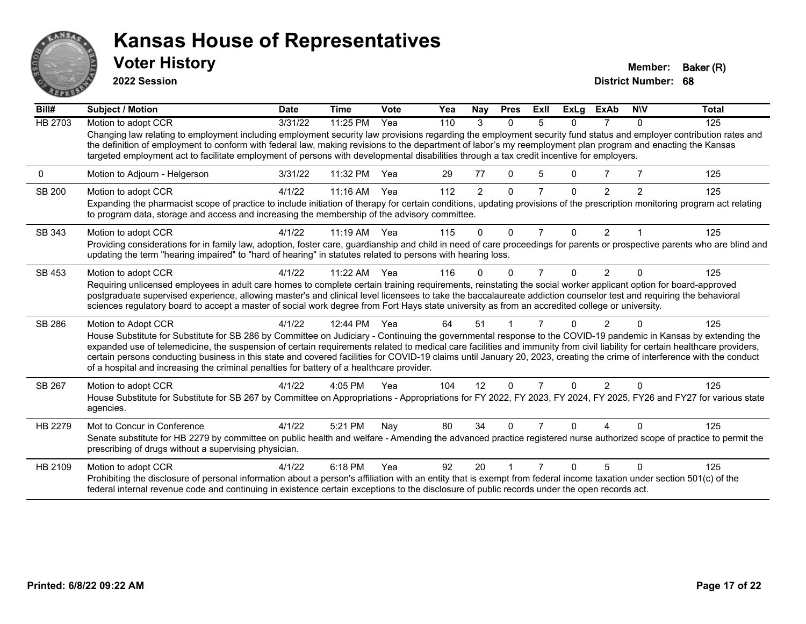

**2022 Session**

| Bill#   | <b>Subject / Motion</b>                                                                                                                                                                                                                                                                                                                                                                                                                                                                                                                                                                                                 | <b>Date</b> | <b>Time</b> | Vote  | Yea | Nay            | <b>Pres</b>  | ExII           | <b>ExLg</b>  | ExAb           | <b>NIV</b>     | Total |
|---------|-------------------------------------------------------------------------------------------------------------------------------------------------------------------------------------------------------------------------------------------------------------------------------------------------------------------------------------------------------------------------------------------------------------------------------------------------------------------------------------------------------------------------------------------------------------------------------------------------------------------------|-------------|-------------|-------|-----|----------------|--------------|----------------|--------------|----------------|----------------|-------|
| HB 2703 | Motion to adopt CCR                                                                                                                                                                                                                                                                                                                                                                                                                                                                                                                                                                                                     | 3/31/22     | 11:25 PM    | Yea   | 110 | 3              | $\mathbf{0}$ | 5              | $\Omega$     | 7              | $\mathbf{0}$   | 125   |
|         | Changing law relating to employment including employment security law provisions regarding the employment security fund status and employer contribution rates and<br>the definition of employment to conform with federal law, making revisions to the department of labor's my reemployment plan program and enacting the Kansas<br>targeted employment act to facilitate employment of persons with developmental disabilities through a tax credit incentive for employers.                                                                                                                                         |             |             |       |     |                |              |                |              |                |                |       |
| 0       | Motion to Adjourn - Helgerson                                                                                                                                                                                                                                                                                                                                                                                                                                                                                                                                                                                           | 3/31/22     | 11:32 PM    | Yea   | 29  | 77             | 0            | 5              | 0            | 7              |                | 125   |
| SB 200  | Motion to adopt CCR<br>Expanding the pharmacist scope of practice to include initiation of therapy for certain conditions, updating provisions of the prescription monitoring program act relating<br>to program data, storage and access and increasing the membership of the advisory committee.                                                                                                                                                                                                                                                                                                                      | 4/1/22      | $11:16$ AM  | Yea   | 112 | $\overline{2}$ | 0            |                | 0            | $\overline{2}$ | $\overline{2}$ | 125   |
| SB 343  | Motion to adopt CCR                                                                                                                                                                                                                                                                                                                                                                                                                                                                                                                                                                                                     | 4/1/22      | $11:19$ AM  | - Yea | 115 | $\Omega$       | $\Omega$     | $\overline{7}$ | $\Omega$     | $\mathcal{P}$  |                | 125   |
|         | Providing considerations for in family law, adoption, foster care, guardianship and child in need of care proceedings for parents or prospective parents who are blind and<br>updating the term "hearing impaired" to "hard of hearing" in statutes related to persons with hearing loss.                                                                                                                                                                                                                                                                                                                               |             |             |       |     |                |              |                |              |                |                |       |
| SB 453  | Motion to adopt CCR                                                                                                                                                                                                                                                                                                                                                                                                                                                                                                                                                                                                     | 4/1/22      | $11:22$ AM  | Yea   | 116 | O.             | $\Omega$     | 7              | 0            | $\mathcal{P}$  |                | 125   |
|         | Requiring unlicensed employees in adult care homes to complete certain training requirements, reinstating the social worker applicant option for board-approved<br>postgraduate supervised experience, allowing master's and clinical level licensees to take the baccalaureate addiction counselor test and requiring the behavioral<br>sciences regulatory board to accept a master of social work degree from Fort Hays state university as from an accredited college or university.                                                                                                                                |             |             |       |     |                |              |                |              |                |                |       |
| SB 286  | Motion to Adopt CCR                                                                                                                                                                                                                                                                                                                                                                                                                                                                                                                                                                                                     | 4/1/22      | 12:44 PM    | - Yea | 64  | 51             |              |                |              | $\mathfrak{p}$ |                | 125   |
|         | House Substitute for Substitute for SB 286 by Committee on Judiciary - Continuing the governmental response to the COVID-19 pandemic in Kansas by extending the<br>expanded use of telemedicine, the suspension of certain requirements related to medical care facilities and immunity from civil liability for certain healthcare providers,<br>certain persons conducting business in this state and covered facilities for COVID-19 claims until January 20, 2023, creating the crime of interference with the conduct<br>of a hospital and increasing the criminal penalties for battery of a healthcare provider. |             |             |       |     |                |              |                |              |                |                |       |
| SB 267  | Motion to adopt CCR                                                                                                                                                                                                                                                                                                                                                                                                                                                                                                                                                                                                     | 4/1/22      | 4:05 PM     | Yea   | 104 | 12             | $\Omega$     |                | 0            | $\overline{2}$ | $\Omega$       | 125   |
|         | House Substitute for Substitute for SB 267 by Committee on Appropriations - Appropriations for FY 2022, FY 2023, FY 2024, FY 2025, FY26 and FY27 for various state<br>agencies.                                                                                                                                                                                                                                                                                                                                                                                                                                         |             |             |       |     |                |              |                |              |                |                |       |
| HB 2279 | Mot to Concur in Conference                                                                                                                                                                                                                                                                                                                                                                                                                                                                                                                                                                                             | 4/1/22      | 5:21 PM     | Nav   | 80  | 34             | 0            |                |              |                |                | 125   |
|         | Senate substitute for HB 2279 by committee on public health and welfare - Amending the advanced practice registered nurse authorized scope of practice to permit the<br>prescribing of drugs without a supervising physician.                                                                                                                                                                                                                                                                                                                                                                                           |             |             |       |     |                |              |                |              |                |                |       |
| HB 2109 | Motion to adopt CCR                                                                                                                                                                                                                                                                                                                                                                                                                                                                                                                                                                                                     | 4/1/22      | 6:18 PM     | Yea   | 92  | 20             |              |                | <sup>n</sup> | 5              | $\Omega$       | 125   |
|         | Prohibiting the disclosure of personal information about a person's affiliation with an entity that is exempt from federal income taxation under section 501(c) of the<br>federal internal revenue code and continuing in existence certain exceptions to the disclosure of public records under the open records act.                                                                                                                                                                                                                                                                                                  |             |             |       |     |                |              |                |              |                |                |       |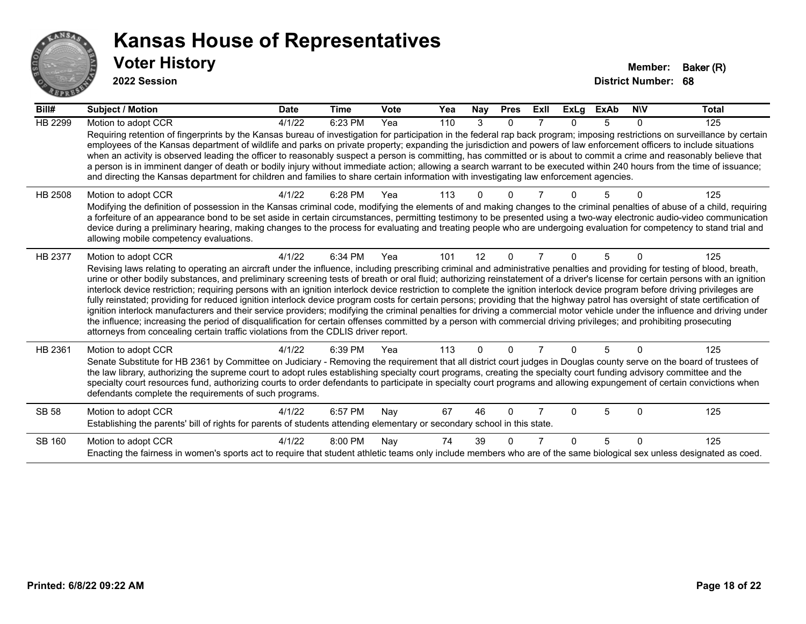

| Bill#          | Subject / Motion                                                                                                                                                                                                                                                                                                                                                                                                                                                                                                                                                                                                                                                                                                                                                                                                                                                                                                                                                                                                                                                                                                                                                                                      | <b>Date</b> | <b>Time</b> | Vote | Yea | Nay      | <b>Pres</b> | ExII | <b>ExLg</b> | <b>ExAb</b> | <b>NIV</b> | Total |
|----------------|-------------------------------------------------------------------------------------------------------------------------------------------------------------------------------------------------------------------------------------------------------------------------------------------------------------------------------------------------------------------------------------------------------------------------------------------------------------------------------------------------------------------------------------------------------------------------------------------------------------------------------------------------------------------------------------------------------------------------------------------------------------------------------------------------------------------------------------------------------------------------------------------------------------------------------------------------------------------------------------------------------------------------------------------------------------------------------------------------------------------------------------------------------------------------------------------------------|-------------|-------------|------|-----|----------|-------------|------|-------------|-------------|------------|-------|
| <b>HB 2299</b> | Motion to adopt CCR                                                                                                                                                                                                                                                                                                                                                                                                                                                                                                                                                                                                                                                                                                                                                                                                                                                                                                                                                                                                                                                                                                                                                                                   | 4/1/22      | 6:23 PM     | Yea  | 110 | 3        | $\Omega$    |      | n           |             | 0          | 125   |
|                | Requiring retention of fingerprints by the Kansas bureau of investigation for participation in the federal rap back program; imposing restrictions on surveillance by certain<br>employees of the Kansas department of wildlife and parks on private property; expanding the jurisdiction and powers of law enforcement officers to include situations<br>when an activity is observed leading the officer to reasonably suspect a person is committing, has committed or is about to commit a crime and reasonably believe that<br>a person is in imminent danger of death or bodily injury without immediate action; allowing a search warrant to be executed within 240 hours from the time of issuance;<br>and directing the Kansas department for children and families to share certain information with investigating law enforcement agencies.                                                                                                                                                                                                                                                                                                                                                |             |             |      |     |          |             |      |             |             |            |       |
| HB 2508        | Motion to adopt CCR<br>Modifying the definition of possession in the Kansas criminal code, modifying the elements of and making changes to the criminal penalties of abuse of a child, requiring<br>a forfeiture of an appearance bond to be set aside in certain circumstances, permitting testimony to be presented using a two-way electronic audio-video communication<br>device during a preliminary hearing, making changes to the process for evaluating and treating people who are undergoing evaluation for competency to stand trial and<br>allowing mobile competency evaluations.                                                                                                                                                                                                                                                                                                                                                                                                                                                                                                                                                                                                        | 4/1/22      | 6:28 PM     | Yea  | 113 |          |             |      |             |             |            | 125   |
| HB 2377        | Motion to adopt CCR<br>Revising laws relating to operating an aircraft under the influence, including prescribing criminal and administrative penalties and providing for testing of blood, breath,<br>urine or other bodily substances, and preliminary screening tests of breath or oral fluid; authorizing reinstatement of a driver's license for certain persons with an ignition<br>interlock device restriction; requiring persons with an ignition interlock device restriction to complete the ignition interlock device program before driving privileges are<br>fully reinstated; providing for reduced ignition interlock device program costs for certain persons; providing that the highway patrol has oversight of state certification of<br>ignition interlock manufacturers and their service providers; modifying the criminal penalties for driving a commercial motor vehicle under the influence and driving under<br>the influence; increasing the period of disqualification for certain offenses committed by a person with commercial driving privileges; and prohibiting prosecuting<br>attorneys from concealing certain traffic violations from the CDLIS driver report. | 4/1/22      | 6:34 PM     | Yea  | 101 | 12       | $\Omega$    |      | 0           | 5           | $\Omega$   | 125   |
| HB 2361        | Motion to adopt CCR<br>Senate Substitute for HB 2361 by Committee on Judiciary - Removing the requirement that all district court judges in Douglas county serve on the board of trustees of<br>the law library, authorizing the supreme court to adopt rules establishing specialty court programs, creating the specialty court funding advisory committee and the<br>specialty court resources fund, authorizing courts to order defendants to participate in specialty court programs and allowing expungement of certain convictions when<br>defendants complete the requirements of such programs.                                                                                                                                                                                                                                                                                                                                                                                                                                                                                                                                                                                              | 4/1/22      | 6:39 PM     | Yea  | 113 | $\Omega$ | $\Omega$    |      | 0           | 5           | $\Omega$   | 125   |
| <b>SB 58</b>   | Motion to adopt CCR<br>Establishing the parents' bill of rights for parents of students attending elementary or secondary school in this state.                                                                                                                                                                                                                                                                                                                                                                                                                                                                                                                                                                                                                                                                                                                                                                                                                                                                                                                                                                                                                                                       | 4/1/22      | 6:57 PM     | Nav  | 67  | 46       | $\Omega$    |      | U           | 5           | $\Omega$   | 125   |
| SB 160         | Motion to adopt CCR<br>Enacting the fairness in women's sports act to require that student athletic teams only include members who are of the same biological sex unless designated as coed.                                                                                                                                                                                                                                                                                                                                                                                                                                                                                                                                                                                                                                                                                                                                                                                                                                                                                                                                                                                                          | 4/1/22      | 8:00 PM     | Nay  | 74  | 39       |             |      | U           | 5           | $\Omega$   | 125   |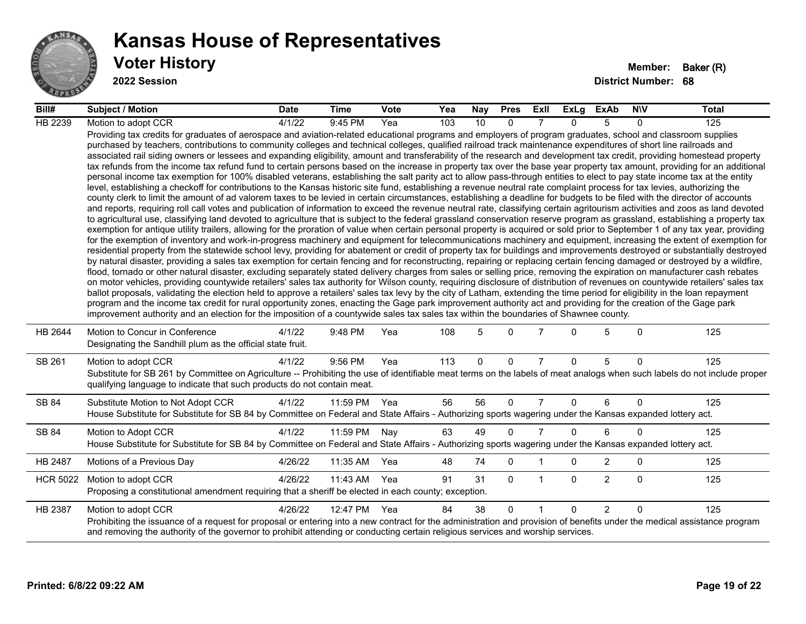

| Bill#           | <b>Subject / Motion</b>                                                                                                                                                                                                                                                                                                                                                                                                                                                                                                                                                                                                                                                                                                                                                                                                                                                                                                                                                                                                                                                                                                                                                                                                                                                                                                                                                                                                                                                                                                                                                                                                                                                                                                                                                                                                                                                                                                                                                                                                                                                                                                                                                                                                                                                                                                                                                                                                                                                                                                                                                                                                                                                                                                                                                                                                                                                                                                                                                                                                                                                                                                                                                     | <b>Date</b> | Time         | <b>Vote</b> | Yea | Nay         | <b>Pres</b>  | Exll           | ExLg     | ExAb           | <b>NIV</b>  | <b>Total</b> |
|-----------------|-----------------------------------------------------------------------------------------------------------------------------------------------------------------------------------------------------------------------------------------------------------------------------------------------------------------------------------------------------------------------------------------------------------------------------------------------------------------------------------------------------------------------------------------------------------------------------------------------------------------------------------------------------------------------------------------------------------------------------------------------------------------------------------------------------------------------------------------------------------------------------------------------------------------------------------------------------------------------------------------------------------------------------------------------------------------------------------------------------------------------------------------------------------------------------------------------------------------------------------------------------------------------------------------------------------------------------------------------------------------------------------------------------------------------------------------------------------------------------------------------------------------------------------------------------------------------------------------------------------------------------------------------------------------------------------------------------------------------------------------------------------------------------------------------------------------------------------------------------------------------------------------------------------------------------------------------------------------------------------------------------------------------------------------------------------------------------------------------------------------------------------------------------------------------------------------------------------------------------------------------------------------------------------------------------------------------------------------------------------------------------------------------------------------------------------------------------------------------------------------------------------------------------------------------------------------------------------------------------------------------------------------------------------------------------------------------------------------------------------------------------------------------------------------------------------------------------------------------------------------------------------------------------------------------------------------------------------------------------------------------------------------------------------------------------------------------------------------------------------------------------------------------------------------------------|-------------|--------------|-------------|-----|-------------|--------------|----------------|----------|----------------|-------------|--------------|
| HB 2239         | Motion to adopt CCR                                                                                                                                                                                                                                                                                                                                                                                                                                                                                                                                                                                                                                                                                                                                                                                                                                                                                                                                                                                                                                                                                                                                                                                                                                                                                                                                                                                                                                                                                                                                                                                                                                                                                                                                                                                                                                                                                                                                                                                                                                                                                                                                                                                                                                                                                                                                                                                                                                                                                                                                                                                                                                                                                                                                                                                                                                                                                                                                                                                                                                                                                                                                                         | 4/1/22      | 9:45 PM      | Yea         | 103 | 10          | $\Omega$     |                | 0        | 5              | $\Omega$    | 125          |
|                 | Providing tax credits for graduates of aerospace and aviation-related educational programs and employers of program graduates, school and classroom supplies<br>purchased by teachers, contributions to community colleges and technical colleges, qualified railroad track maintenance expenditures of short line railroads and<br>associated rail siding owners or lessees and expanding eligibility, amount and transferability of the research and development tax credit, providing homestead property<br>tax refunds from the income tax refund fund to certain persons based on the increase in property tax over the base year property tax amount, providing for an additional<br>personal income tax exemption for 100% disabled veterans, establishing the salt parity act to allow pass-through entities to elect to pay state income tax at the entity<br>level, establishing a checkoff for contributions to the Kansas historic site fund, establishing a revenue neutral rate complaint process for tax levies, authorizing the<br>county clerk to limit the amount of ad valorem taxes to be levied in certain circumstances, establishing a deadline for budgets to be filed with the director of accounts<br>and reports, requiring roll call votes and publication of information to exceed the revenue neutral rate, classifying certain agritourism activities and zoos as land devoted<br>to agricultural use, classifying land devoted to agriculture that is subject to the federal grassland conservation reserve program as grassland, establishing a property tax<br>exemption for antique utility trailers, allowing for the proration of value when certain personal property is acquired or sold prior to September 1 of any tax year, providing<br>for the exemption of inventory and work-in-progress machinery and equipment for telecommunications machinery and equipment, increasing the extent of exemption for<br>residential property from the statewide school levy, providing for abatement or credit of property tax for buildings and improvements destroyed or substantially destroyed<br>by natural disaster, providing a sales tax exemption for certain fencing and for reconstructing, repairing or replacing certain fencing damaged or destroyed by a wildfire,<br>flood, tornado or other natural disaster, excluding separately stated delivery charges from sales or selling price, removing the expiration on manufacturer cash rebates<br>on motor vehicles, providing countywide retailers' sales tax authority for Wilson county, requiring disclosure of distribution of revenues on countywide retailers' sales tax<br>ballot proposals, validating the election held to approve a retailers' sales tax levy by the city of Latham, extending the time period for eligibility in the loan repayment<br>program and the income tax credit for rural opportunity zones, enacting the Gage park improvement authority act and providing for the creation of the Gage park<br>improvement authority and an election for the imposition of a countywide sales tax sales tax within the boundaries of Shawnee county. |             |              |             |     |             |              |                |          |                |             |              |
| HB 2644         | Motion to Concur in Conference<br>Designating the Sandhill plum as the official state fruit.                                                                                                                                                                                                                                                                                                                                                                                                                                                                                                                                                                                                                                                                                                                                                                                                                                                                                                                                                                                                                                                                                                                                                                                                                                                                                                                                                                                                                                                                                                                                                                                                                                                                                                                                                                                                                                                                                                                                                                                                                                                                                                                                                                                                                                                                                                                                                                                                                                                                                                                                                                                                                                                                                                                                                                                                                                                                                                                                                                                                                                                                                | 4/1/22      | 9:48 PM      | Yea         | 108 | 5           | $\Omega$     |                | U        | 5              | $\Omega$    | 125          |
| SB 261          | Motion to adopt CCR<br>Substitute for SB 261 by Committee on Agriculture -- Prohibiting the use of identifiable meat terms on the labels of meat analogs when such labels do not include proper<br>qualifying language to indicate that such products do not contain meat.                                                                                                                                                                                                                                                                                                                                                                                                                                                                                                                                                                                                                                                                                                                                                                                                                                                                                                                                                                                                                                                                                                                                                                                                                                                                                                                                                                                                                                                                                                                                                                                                                                                                                                                                                                                                                                                                                                                                                                                                                                                                                                                                                                                                                                                                                                                                                                                                                                                                                                                                                                                                                                                                                                                                                                                                                                                                                                  | 4/1/22      | 9:56 PM      | Yea         | 113 | $\mathbf 0$ | $\mathbf 0$  | $\overline{7}$ | 0        | 5              | $\mathbf 0$ | 125          |
| SB 84           | Substitute Motion to Not Adopt CCR<br>House Substitute for Substitute for SB 84 by Committee on Federal and State Affairs - Authorizing sports wagering under the Kansas expanded lottery act.                                                                                                                                                                                                                                                                                                                                                                                                                                                                                                                                                                                                                                                                                                                                                                                                                                                                                                                                                                                                                                                                                                                                                                                                                                                                                                                                                                                                                                                                                                                                                                                                                                                                                                                                                                                                                                                                                                                                                                                                                                                                                                                                                                                                                                                                                                                                                                                                                                                                                                                                                                                                                                                                                                                                                                                                                                                                                                                                                                              | 4/1/22      | 11:59 PM Yea |             | 56  | 56          | $\mathbf{0}$ | $\overline{7}$ | $\Omega$ | 6              | $\Omega$    | 125          |
| SB 84           | Motion to Adopt CCR<br>House Substitute for Substitute for SB 84 by Committee on Federal and State Affairs - Authorizing sports wagering under the Kansas expanded lottery act.                                                                                                                                                                                                                                                                                                                                                                                                                                                                                                                                                                                                                                                                                                                                                                                                                                                                                                                                                                                                                                                                                                                                                                                                                                                                                                                                                                                                                                                                                                                                                                                                                                                                                                                                                                                                                                                                                                                                                                                                                                                                                                                                                                                                                                                                                                                                                                                                                                                                                                                                                                                                                                                                                                                                                                                                                                                                                                                                                                                             | 4/1/22      | 11:59 PM     | Nay         | 63  | 49          | $\Omega$     | $\overline{7}$ | 0        | 6              | $\Omega$    | 125          |
| HB 2487         | Motions of a Previous Day                                                                                                                                                                                                                                                                                                                                                                                                                                                                                                                                                                                                                                                                                                                                                                                                                                                                                                                                                                                                                                                                                                                                                                                                                                                                                                                                                                                                                                                                                                                                                                                                                                                                                                                                                                                                                                                                                                                                                                                                                                                                                                                                                                                                                                                                                                                                                                                                                                                                                                                                                                                                                                                                                                                                                                                                                                                                                                                                                                                                                                                                                                                                                   | 4/26/22     | 11:35 AM     | Yea         | 48  | 74          | $\mathbf 0$  |                | 0        | $\overline{c}$ | 0           | 125          |
| <b>HCR 5022</b> | Motion to adopt CCR<br>Proposing a constitutional amendment requiring that a sheriff be elected in each county; exception.                                                                                                                                                                                                                                                                                                                                                                                                                                                                                                                                                                                                                                                                                                                                                                                                                                                                                                                                                                                                                                                                                                                                                                                                                                                                                                                                                                                                                                                                                                                                                                                                                                                                                                                                                                                                                                                                                                                                                                                                                                                                                                                                                                                                                                                                                                                                                                                                                                                                                                                                                                                                                                                                                                                                                                                                                                                                                                                                                                                                                                                  | 4/26/22     | 11:43 AM     | Yea         | 91  | 31          | $\mathbf{0}$ | -1             | 0        | 2              | $\Omega$    | 125          |
| HB 2387         | Motion to adopt CCR<br>Prohibiting the issuance of a request for proposal or entering into a new contract for the administration and provision of benefits under the medical assistance program<br>and removing the authority of the governor to prohibit attending or conducting certain religious services and worship services.                                                                                                                                                                                                                                                                                                                                                                                                                                                                                                                                                                                                                                                                                                                                                                                                                                                                                                                                                                                                                                                                                                                                                                                                                                                                                                                                                                                                                                                                                                                                                                                                                                                                                                                                                                                                                                                                                                                                                                                                                                                                                                                                                                                                                                                                                                                                                                                                                                                                                                                                                                                                                                                                                                                                                                                                                                          | 4/26/22     | 12:47 PM     | Yea         | 84  | 38          | $\mathbf{0}$ |                | 0        | $\overline{2}$ | $\Omega$    | 125          |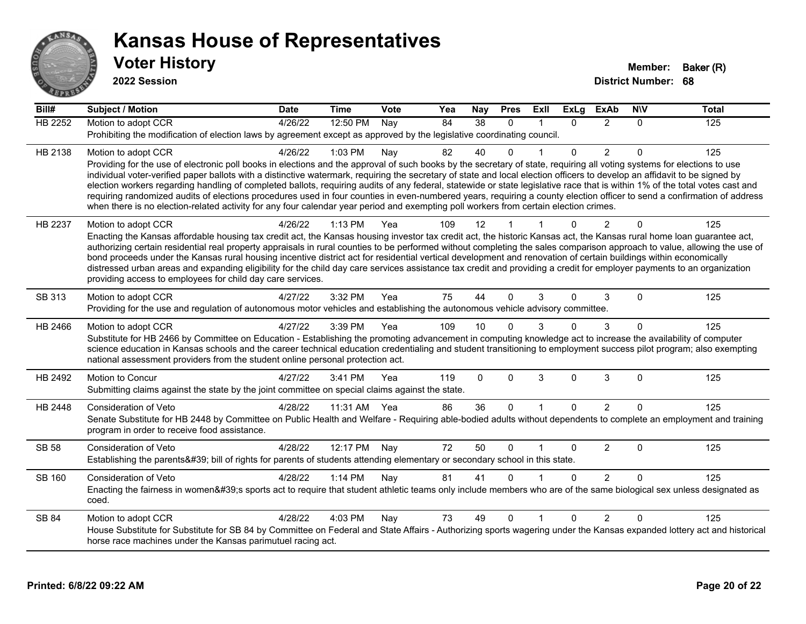

| Bill#          | <b>Subject / Motion</b>                                                                                                                                                                                                                                                                                                                                    | <b>Date</b> | <b>Time</b> | Vote | Yea | Nay      | <b>Pres</b>          | ExIl                 | <b>ExLg</b>  | <b>ExAb</b>    | <b>NIV</b>  | <b>Total</b> |
|----------------|------------------------------------------------------------------------------------------------------------------------------------------------------------------------------------------------------------------------------------------------------------------------------------------------------------------------------------------------------------|-------------|-------------|------|-----|----------|----------------------|----------------------|--------------|----------------|-------------|--------------|
| <b>HB 2252</b> | Motion to adopt CCR                                                                                                                                                                                                                                                                                                                                        | 4/26/22     | 12:50 PM    | Nay  | 84  | 38       | $\Omega$             | $\blacktriangleleft$ | $\Omega$     | $\overline{2}$ | $\Omega$    | 125          |
|                | Prohibiting the modification of election laws by agreement except as approved by the legislative coordinating council.                                                                                                                                                                                                                                     |             |             |      |     |          |                      |                      |              |                |             |              |
| HB 2138        | Motion to adopt CCR                                                                                                                                                                                                                                                                                                                                        | 4/26/22     | 1:03 PM     | Nay  | 82  | 40       | $\Omega$             |                      | $\mathbf{0}$ | $\overline{2}$ | 0           | 125          |
|                | Providing for the use of electronic poll books in elections and the approval of such books by the secretary of state, requiring all voting systems for elections to use                                                                                                                                                                                    |             |             |      |     |          |                      |                      |              |                |             |              |
|                | individual voter-verified paper ballots with a distinctive watermark, requiring the secretary of state and local election officers to develop an affidavit to be signed by<br>election workers regarding handling of completed ballots, requiring audits of any federal, statewide or state legislative race that is within 1% of the total votes cast and |             |             |      |     |          |                      |                      |              |                |             |              |
|                | requiring randomized audits of elections procedures used in four counties in even-numbered years, requiring a county election officer to send a confirmation of address                                                                                                                                                                                    |             |             |      |     |          |                      |                      |              |                |             |              |
|                | when there is no election-related activity for any four calendar year period and exempting poll workers from certain election crimes.                                                                                                                                                                                                                      |             |             |      |     |          |                      |                      |              |                |             |              |
| HB 2237        | Motion to adopt CCR                                                                                                                                                                                                                                                                                                                                        | 4/26/22     | $1:13$ PM   | Yea  | 109 | 12       | $\blacktriangleleft$ |                      | 0            | $\overline{2}$ | $\Omega$    | 125          |
|                | Enacting the Kansas affordable housing tax credit act, the Kansas housing investor tax credit act, the historic Kansas act, the Kansas rural home loan guarantee act,                                                                                                                                                                                      |             |             |      |     |          |                      |                      |              |                |             |              |
|                | authorizing certain residential real property appraisals in rural counties to be performed without completing the sales comparison approach to value, allowing the use of<br>bond proceeds under the Kansas rural housing incentive district act for residential vertical development and renovation of certain buildings within economically              |             |             |      |     |          |                      |                      |              |                |             |              |
|                | distressed urban areas and expanding eligibility for the child day care services assistance tax credit and providing a credit for employer payments to an organization                                                                                                                                                                                     |             |             |      |     |          |                      |                      |              |                |             |              |
|                | providing access to employees for child day care services.                                                                                                                                                                                                                                                                                                 |             |             |      |     |          |                      |                      |              |                |             |              |
| SB 313         | Motion to adopt CCR                                                                                                                                                                                                                                                                                                                                        | 4/27/22     | 3:32 PM     | Yea  | 75  | 44       | $\mathbf 0$          | 3                    | $\Omega$     | 3              | $\Omega$    | 125          |
|                | Providing for the use and regulation of autonomous motor vehicles and establishing the autonomous vehicle advisory committee.                                                                                                                                                                                                                              |             |             |      |     |          |                      |                      |              |                |             |              |
| HB 2466        | Motion to adopt CCR                                                                                                                                                                                                                                                                                                                                        | 4/27/22     | 3:39 PM     | Yea  | 109 | 10       | ∩                    | 3                    | U            | 3              | $\Omega$    | 125          |
|                | Substitute for HB 2466 by Committee on Education - Establishing the promoting advancement in computing knowledge act to increase the availability of computer                                                                                                                                                                                              |             |             |      |     |          |                      |                      |              |                |             |              |
|                | science education in Kansas schools and the career technical education credentialing and student transitioning to employment success pilot program; also exempting<br>national assessment providers from the student online personal protection act.                                                                                                       |             |             |      |     |          |                      |                      |              |                |             |              |
| HB 2492        | Motion to Concur                                                                                                                                                                                                                                                                                                                                           | 4/27/22     | 3:41 PM     | Yea  | 119 | $\Omega$ | $\Omega$             | 3                    | $\Omega$     | 3              | $\mathbf 0$ | 125          |
|                | Submitting claims against the state by the joint committee on special claims against the state.                                                                                                                                                                                                                                                            |             |             |      |     |          |                      |                      |              |                |             |              |
| HB 2448        | <b>Consideration of Veto</b>                                                                                                                                                                                                                                                                                                                               | 4/28/22     | 11:31 AM    | Yea  | 86  | 36       | $\Omega$             | $\mathbf{1}$         | $\Omega$     | $\overline{2}$ | $\Omega$    | 125          |
|                | Senate Substitute for HB 2448 by Committee on Public Health and Welfare - Requiring able-bodied adults without dependents to complete an employment and training                                                                                                                                                                                           |             |             |      |     |          |                      |                      |              |                |             |              |
|                | program in order to receive food assistance.                                                                                                                                                                                                                                                                                                               |             |             |      |     |          |                      |                      |              |                |             |              |
| <b>SB 58</b>   | Consideration of Veto                                                                                                                                                                                                                                                                                                                                      | 4/28/22     | 12:17 PM    | Nay  | 72  | 50       | $\Omega$             |                      | $\Omega$     | $\overline{2}$ | $\Omega$    | 125          |
|                | Establishing the parents' bill of rights for parents of students attending elementary or secondary school in this state.                                                                                                                                                                                                                                   |             |             |      |     |          |                      |                      |              |                |             |              |
| SB 160         | Consideration of Veto                                                                                                                                                                                                                                                                                                                                      | 4/28/22     | $1:14$ PM   | Nay  | 81  | 41       | ∩                    |                      | $\Omega$     | $\overline{2}$ | $\Omega$    | 125          |
|                | Enacting the fairness in women's sports act to require that student athletic teams only include members who are of the same biological sex unless designated as                                                                                                                                                                                            |             |             |      |     |          |                      |                      |              |                |             |              |
|                | coed.                                                                                                                                                                                                                                                                                                                                                      |             |             |      |     |          |                      |                      |              |                |             |              |
| SB 84          | Motion to adopt CCR                                                                                                                                                                                                                                                                                                                                        | 4/28/22     | 4:03 PM     | Nay  | 73  | 49       | $\Omega$             | $\mathbf 1$          | $\Omega$     | $\mathcal{P}$  | $\Omega$    | 125          |
|                | House Substitute for Substitute for SB 84 by Committee on Federal and State Affairs - Authorizing sports wagering under the Kansas expanded lottery act and historical                                                                                                                                                                                     |             |             |      |     |          |                      |                      |              |                |             |              |
|                | horse race machines under the Kansas parimutuel racing act.                                                                                                                                                                                                                                                                                                |             |             |      |     |          |                      |                      |              |                |             |              |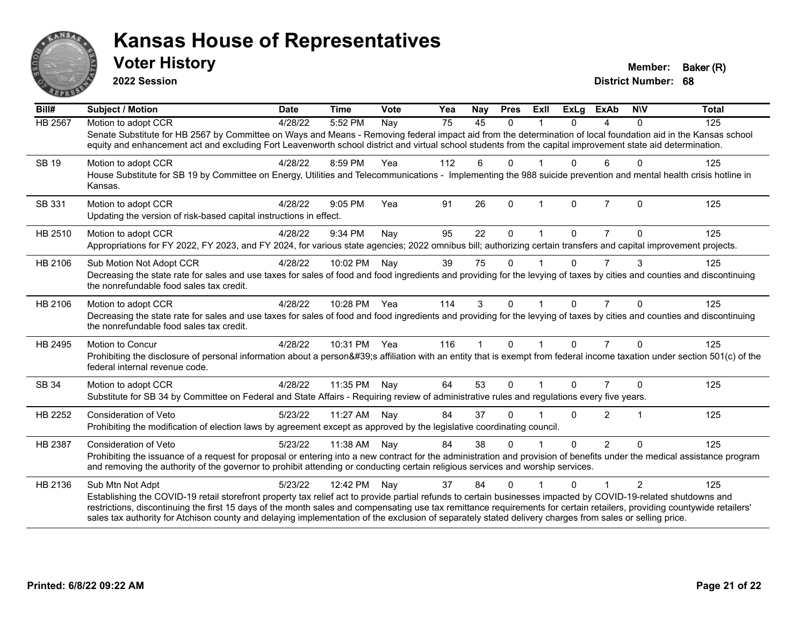

**2022 Session**

| Bill#          | <b>Subject / Motion</b>                                                                                                                                                                                                                                                                                                             | <b>Date</b> | <b>Time</b>  | Vote | Yea | <b>Nay</b> | <b>Pres</b> | ExIl           | <b>ExLg</b>  | <b>ExAb</b>    | <b>NIV</b>     | <b>Total</b> |
|----------------|-------------------------------------------------------------------------------------------------------------------------------------------------------------------------------------------------------------------------------------------------------------------------------------------------------------------------------------|-------------|--------------|------|-----|------------|-------------|----------------|--------------|----------------|----------------|--------------|
| <b>HB 2567</b> | Motion to adopt CCR                                                                                                                                                                                                                                                                                                                 | 4/28/22     | 5:52 PM      | Nay  | 75  | 45         | $\Omega$    |                | 0            | 4              | 0              | 125          |
|                | Senate Substitute for HB 2567 by Committee on Ways and Means - Removing federal impact aid from the determination of local foundation aid in the Kansas school<br>equity and enhancement act and excluding Fort Leavenworth school district and virtual school students from the capital improvement state aid determination.       |             |              |      |     |            |             |                |              |                |                |              |
| <b>SB 19</b>   | Motion to adopt CCR                                                                                                                                                                                                                                                                                                                 | 4/28/22     | 8:59 PM      | Yea  | 112 | 6          | $\Omega$    |                | 0            | 6              | $\mathbf{0}$   | 125          |
|                | House Substitute for SB 19 by Committee on Energy, Utilities and Telecommunications - Implementing the 988 suicide prevention and mental health crisis hotline in<br>Kansas.                                                                                                                                                        |             |              |      |     |            |             |                |              |                |                |              |
| SB 331         | Motion to adopt CCR                                                                                                                                                                                                                                                                                                                 | 4/28/22     | 9:05 PM      | Yea  | 91  | 26         | $\Omega$    | $\overline{1}$ | $\Omega$     | $\overline{7}$ | $\Omega$       | 125          |
|                | Updating the version of risk-based capital instructions in effect.                                                                                                                                                                                                                                                                  |             |              |      |     |            |             |                |              |                |                |              |
| HB 2510        | Motion to adopt CCR                                                                                                                                                                                                                                                                                                                 | 4/28/22     | 9:34 PM      | Nay  | 95  | 22         | $\Omega$    |                | 0            |                | 0              | 125          |
|                | Appropriations for FY 2022, FY 2023, and FY 2024, for various state agencies; 2022 omnibus bill; authorizing certain transfers and capital improvement projects.                                                                                                                                                                    |             |              |      |     |            |             |                |              |                |                |              |
| HB 2106        | Sub Motion Not Adopt CCR                                                                                                                                                                                                                                                                                                            | 4/28/22     | 10:02 PM     | Nay  | 39  | 75         | $\Omega$    |                | 0            | $\overline{7}$ | 3              | 125          |
|                | Decreasing the state rate for sales and use taxes for sales of food and food ingredients and providing for the levying of taxes by cities and counties and discontinuing<br>the nonrefundable food sales tax credit.                                                                                                                |             |              |      |     |            |             |                |              |                |                |              |
| HB 2106        | Motion to adopt CCR                                                                                                                                                                                                                                                                                                                 | 4/28/22     | 10:28 PM Yea |      | 114 | 3          | $\Omega$    |                | $\Omega$     | $\overline{7}$ | $\Omega$       | 125          |
|                | Decreasing the state rate for sales and use taxes for sales of food and food ingredients and providing for the levying of taxes by cities and counties and discontinuing<br>the nonrefundable food sales tax credit.                                                                                                                |             |              |      |     |            |             |                |              |                |                |              |
| HB 2495        | Motion to Concur                                                                                                                                                                                                                                                                                                                    | 4/28/22     | 10:31 PM     | Yea  | 116 | 1          | $\Omega$    | 1              | $\Omega$     | $\overline{7}$ | $\Omega$       | 125          |
|                | Prohibiting the disclosure of personal information about a person's affiliation with an entity that is exempt from federal income taxation under section 501(c) of the<br>federal internal revenue code.                                                                                                                            |             |              |      |     |            |             |                |              |                |                |              |
| SB 34          | Motion to adopt CCR                                                                                                                                                                                                                                                                                                                 | 4/28/22     | 11:35 PM     | Nay  | 64  | 53         | $\Omega$    |                | $\mathbf{0}$ |                | $\Omega$       | 125          |
|                | Substitute for SB 34 by Committee on Federal and State Affairs - Requiring review of administrative rules and regulations every five years.                                                                                                                                                                                         |             |              |      |     |            |             |                |              |                |                |              |
| HB 2252        | <b>Consideration of Veto</b>                                                                                                                                                                                                                                                                                                        | 5/23/22     | 11:27 AM     | Nay  | 84  | 37         | $\Omega$    |                | 0            | $\overline{2}$ |                | 125          |
|                | Prohibiting the modification of election laws by agreement except as approved by the legislative coordinating council.                                                                                                                                                                                                              |             |              |      |     |            |             |                |              |                |                |              |
| HB 2387        | <b>Consideration of Veto</b>                                                                                                                                                                                                                                                                                                        | 5/23/22     | 11:38 AM     | Nay  | 84  | 38         | $\Omega$    |                | $\Omega$     | $\overline{2}$ | $\Omega$       | 125          |
|                | Prohibiting the issuance of a request for proposal or entering into a new contract for the administration and provision of benefits under the medical assistance program<br>and removing the authority of the governor to prohibit attending or conducting certain religious services and worship services.                         |             |              |      |     |            |             |                |              |                |                |              |
| HB 2136        | Sub Mtn Not Adpt                                                                                                                                                                                                                                                                                                                    | 5/23/22     | 12:42 PM     | Nay  | 37  | 84         | $\Omega$    |                | 0            |                | $\overline{2}$ | 125          |
|                | Establishing the COVID-19 retail storefront property tax relief act to provide partial refunds to certain businesses impacted by COVID-19-related shutdowns and                                                                                                                                                                     |             |              |      |     |            |             |                |              |                |                |              |
|                | restrictions, discontinuing the first 15 days of the month sales and compensating use tax remittance requirements for certain retailers, providing countywide retailers'<br>sales tax authority for Atchison county and delaying implementation of the exclusion of separately stated delivery charges from sales or selling price. |             |              |      |     |            |             |                |              |                |                |              |